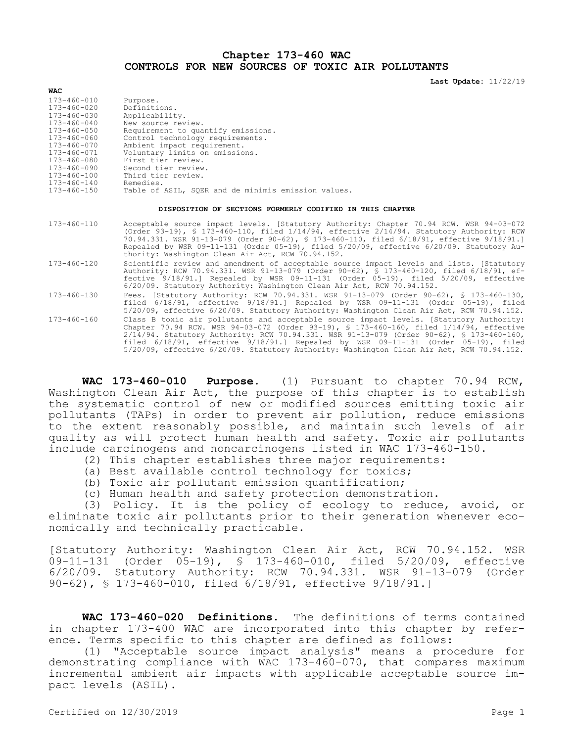## **Chapter 173-460 WAC CONTROLS FOR NEW SOURCES OF TOXIC AIR POLLUTANTS**

**Last Update:** 11/22/19

## **WAC**

| Purpose.                                            |
|-----------------------------------------------------|
| Definitions.                                        |
| Applicability.                                      |
| New source review.                                  |
| Requirement to quantify emissions.                  |
| Control technology requirements.                    |
| Ambient impact requirement.                         |
| Voluntary limits on emissions.                      |
| First tier review.                                  |
| Second tier review.                                 |
| Third tier review.                                  |
| Remedies.                                           |
| Table of ASIL, SOER and de minimis emission values. |
|                                                     |

## **DISPOSITION OF SECTIONS FORMERLY CODIFIED IN THIS CHAPTER**

173-460-110 Acceptable source impact levels. [Statutory Authority: Chapter 70.94 RCW. WSR 94-03-072 (Order 93-19), § 173-460-110, filed 1/14/94, effective 2/14/94. Statutory Authority: RCW 70.94.331. WSR 91-13-079 (Order 90-62), § 173-460-110, filed 6/18/91, effective 9/18/91.] Repealed by WSR 09-11-131 (Order 05-19), filed 5/20/09, effective 6/20/09. Statutory Authority: Washington Clean Air Act, RCW 70.94.152. 173-460-120 Scientific review and amendment of acceptable source impact levels and lists. [Statutory Authority: RCW 70.94.331. WSR 91-13-079 (Order 90-62), § 173-460-120, filed 6/18/91, effective 9/18/91.] Repealed by WSR 09-11-131 (Order 05-19), filed 5/20/09, effective 6/20/09. Statutory Authority: Washington Clean Air Act, RCW 70.94.152. 173-460-130 Fees. [Statutory Authority: RCW 70.94.331. WSR 91-13-079 (Order 90-62), § 173-460-130, filed 6/18/91, effective 9/18/91.] Repealed by WSR 09-11-131 (Order 05-19), filed 5/20/09, effective 6/20/09. Statutory Authority: Washington Clean Air Act, RCW 70.94.152. 173-460-160 Class B toxic air pollutants and acceptable source impact levels. [Statutory Authority: Chapter 70.94 RCW. WSR 94-03-072 (Order 93-19), § 173-460-160, filed 1/14/94, effective 2/14/94. Statutory Authority: RCW 70.94.331. WSR 91-13-079 (Order 90-62), § 173-460-160, filed 6/18/91, effective 9/18/91.] Repealed by WSR 09-11-131 (Order 05-19), filed

**WAC 173-460-010 Purpose.** (1) Pursuant to chapter 70.94 RCW, Washington Clean Air Act, the purpose of this chapter is to establish the systematic control of new or modified sources emitting toxic air pollutants (TAPs) in order to prevent air pollution, reduce emissions to the extent reasonably possible, and maintain such levels of air quality as will protect human health and safety. Toxic air pollutants include carcinogens and noncarcinogens listed in WAC 173-460-150.

5/20/09, effective 6/20/09. Statutory Authority: Washington Clean Air Act, RCW 70.94.152.

- (2) This chapter establishes three major requirements:
- (a) Best available control technology for toxics;
- (b) Toxic air pollutant emission quantification;
- (c) Human health and safety protection demonstration.

(3) Policy. It is the policy of ecology to reduce, avoid, or eliminate toxic air pollutants prior to their generation whenever economically and technically practicable.

[Statutory Authority: Washington Clean Air Act, RCW 70.94.152. WSR 09-11-131 (Order 05-19), § 173-460-010, filed 5/20/09, effective 6/20/09. Statutory Authority: RCW 70.94.331. WSR 91-13-079 (Order 90-62), § 173-460-010, filed 6/18/91, effective 9/18/91.]

**WAC 173-460-020 Definitions.** The definitions of terms contained in chapter 173-400 WAC are incorporated into this chapter by reference. Terms specific to this chapter are defined as follows:

(1) "Acceptable source impact analysis" means a procedure for demonstrating compliance with WAC 173-460-070, that compares maximum incremental ambient air impacts with applicable acceptable source impact levels (ASIL).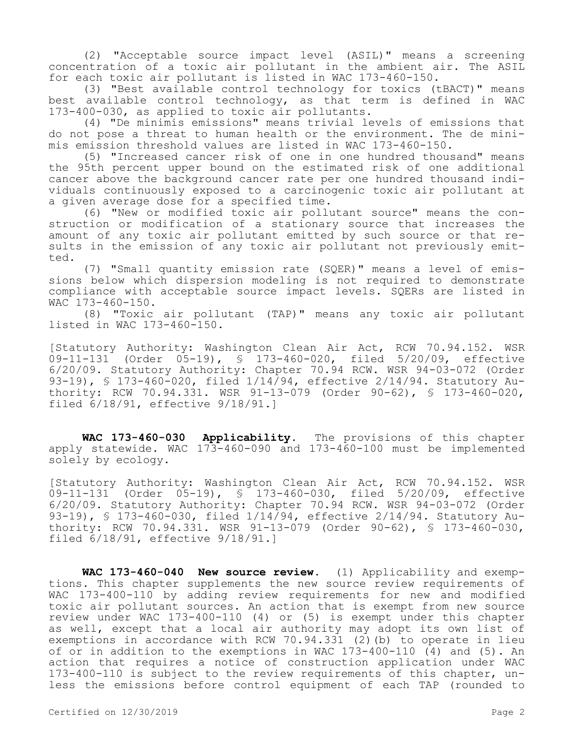(2) "Acceptable source impact level (ASIL)" means a screening concentration of a toxic air pollutant in the ambient air. The ASIL for each toxic air pollutant is listed in WAC 173-460-150.

(3) "Best available control technology for toxics (tBACT)" means best available control technology, as that term is defined in WAC 173-400-030, as applied to toxic air pollutants.

(4) "De minimis emissions" means trivial levels of emissions that do not pose a threat to human health or the environment. The de minimis emission threshold values are listed in WAC 173-460-150.

(5) "Increased cancer risk of one in one hundred thousand" means the 95th percent upper bound on the estimated risk of one additional cancer above the background cancer rate per one hundred thousand individuals continuously exposed to a carcinogenic toxic air pollutant at a given average dose for a specified time.

(6) "New or modified toxic air pollutant source" means the construction or modification of a stationary source that increases the amount of any toxic air pollutant emitted by such source or that results in the emission of any toxic air pollutant not previously emitted.

(7) "Small quantity emission rate (SQER)" means a level of emissions below which dispersion modeling is not required to demonstrate compliance with acceptable source impact levels. SQERs are listed in WAC 173-460-150.

(8) "Toxic air pollutant (TAP)" means any toxic air pollutant listed in WAC 173-460-150.

[Statutory Authority: Washington Clean Air Act, RCW 70.94.152. WSR 09-11-131 (Order 05-19), § 173-460-020, filed 5/20/09, effective 6/20/09. Statutory Authority: Chapter 70.94 RCW. WSR 94-03-072 (Order 93-19), § 173-460-020, filed 1/14/94, effective 2/14/94. Statutory Authority: RCW 70.94.331. WSR 91-13-079 (Order 90-62), § 173-460-020, filed 6/18/91, effective 9/18/91.]

**WAC 173-460-030 Applicability.** The provisions of this chapter apply statewide. WAC 173-460-090 and 173-460-100 must be implemented solely by ecology.

[Statutory Authority: Washington Clean Air Act, RCW 70.94.152. WSR 09-11-131 (Order 05-19), § 173-460-030, filed 5/20/09, effective 6/20/09. Statutory Authority: Chapter 70.94 RCW. WSR 94-03-072 (Order 93-19), § 173-460-030, filed 1/14/94, effective 2/14/94. Statutory Authority: RCW 70.94.331. WSR 91-13-079 (Order 90-62), § 173-460-030, filed 6/18/91, effective 9/18/91.]

**WAC 173-460-040 New source review.** (1) Applicability and exemptions. This chapter supplements the new source review requirements of WAC 173-400-110 by adding review requirements for new and modified toxic air pollutant sources. An action that is exempt from new source review under WAC 173-400-110 (4) or (5) is exempt under this chapter as well, except that a local air authority may adopt its own list of exemptions in accordance with RCW 70.94.331 (2)(b) to operate in lieu of or in addition to the exemptions in WAC 173-400-110 (4) and (5). An action that requires a notice of construction application under WAC 173-400-110 is subject to the review requirements of this chapter, unless the emissions before control equipment of each TAP (rounded to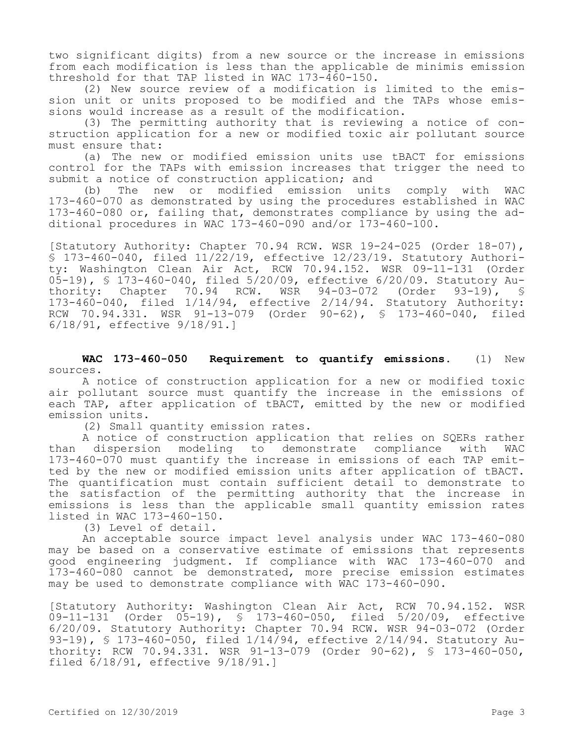two significant digits) from a new source or the increase in emissions from each modification is less than the applicable de minimis emission threshold for that TAP listed in WAC 173-460-150.

(2) New source review of a modification is limited to the emission unit or units proposed to be modified and the TAPs whose emissions would increase as a result of the modification.

(3) The permitting authority that is reviewing a notice of construction application for a new or modified toxic air pollutant source must ensure that:

(a) The new or modified emission units use tBACT for emissions control for the TAPs with emission increases that trigger the need to submit a notice of construction application; and

(b) The new or modified emission units comply with WAC 173-460-070 as demonstrated by using the procedures established in WAC 173-460-080 or, failing that, demonstrates compliance by using the additional procedures in WAC 173-460-090 and/or 173-460-100.

[Statutory Authority: Chapter 70.94 RCW. WSR 19-24-025 (Order 18-07), § 173-460-040, filed 11/22/19, effective 12/23/19. Statutory Authority: Washington Clean Air Act, RCW 70.94.152. WSR 09-11-131 (Order 05-19), § 173-460-040, filed 5/20/09, effective 6/20/09. Statutory Au-<br>thority: Chapter 70.94 RCW. WSR 94-03-072 (Order 93-19), § thority: Chapter 70.94 RCW. WSR 94-03-072 (Order 93-19), § 173-460-040, filed 1/14/94, effective 2/14/94. Statutory Authority: RCW 70.94.331. WSR 91-13-079 (Order 90-62), § 173-460-040, filed 6/18/91, effective 9/18/91.]

**WAC 173-460-050 Requirement to quantify emissions.** (1) New sources.

A notice of construction application for a new or modified toxic air pollutant source must quantify the increase in the emissions of each TAP, after application of tBACT, emitted by the new or modified emission units.

(2) Small quantity emission rates.

A notice of construction application that relies on SQERs rather than dispersion modeling to demonstrate compliance with WAC 173-460-070 must quantify the increase in emissions of each TAP emitted by the new or modified emission units after application of tBACT. The quantification must contain sufficient detail to demonstrate to the satisfaction of the permitting authority that the increase in emissions is less than the applicable small quantity emission rates listed in WAC 173-460-150.

(3) Level of detail.

An acceptable source impact level analysis under WAC 173-460-080 may be based on a conservative estimate of emissions that represents good engineering judgment. If compliance with WAC 173-460-070 and 173-460-080 cannot be demonstrated, more precise emission estimates may be used to demonstrate compliance with WAC 173-460-090.

[Statutory Authority: Washington Clean Air Act, RCW 70.94.152. WSR 09-11-131 (Order 05-19), § 173-460-050, filed 5/20/09, effective 6/20/09. Statutory Authority: Chapter 70.94 RCW. WSR 94-03-072 (Order 93-19), § 173-460-050, filed 1/14/94, effective 2/14/94. Statutory Authority: RCW 70.94.331. WSR 91-13-079 (Order 90-62), § 173-460-050, filed 6/18/91, effective 9/18/91.]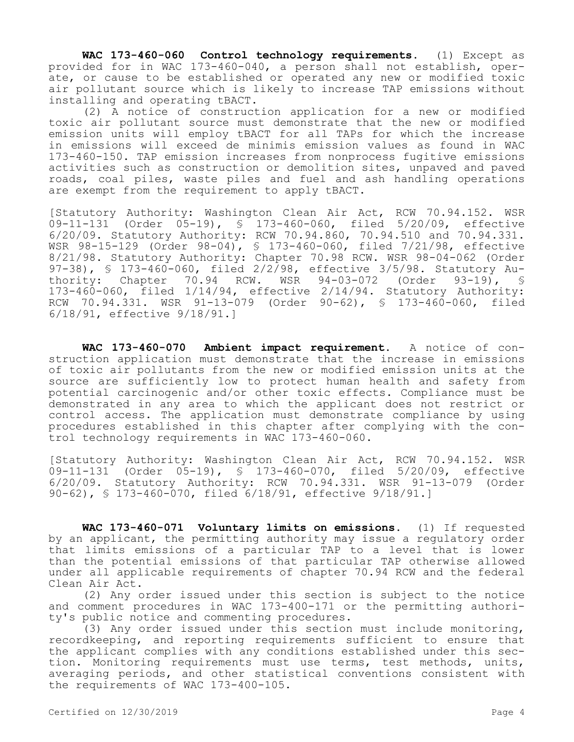**WAC 173-460-060 Control technology requirements.** (1) Except as provided for in WAC 173-460-040, a person shall not establish, operate, or cause to be established or operated any new or modified toxic air pollutant source which is likely to increase TAP emissions without installing and operating tBACT.

(2) A notice of construction application for a new or modified toxic air pollutant source must demonstrate that the new or modified emission units will employ tBACT for all TAPs for which the increase in emissions will exceed de minimis emission values as found in WAC 173-460-150. TAP emission increases from nonprocess fugitive emissions activities such as construction or demolition sites, unpaved and paved roads, coal piles, waste piles and fuel and ash handling operations are exempt from the requirement to apply tBACT.

[Statutory Authority: Washington Clean Air Act, RCW 70.94.152. WSR 09-11-131 (Order 05-19), § 173-460-060, filed 5/20/09, effective 6/20/09. Statutory Authority: RCW 70.94.860, 70.94.510 and 70.94.331. WSR 98-15-129 (Order 98-04), § 173-460-060, filed 7/21/98, effective 8/21/98. Statutory Authority: Chapter 70.98 RCW. WSR 98-04-062 (Order 97-38), § 173-460-060, filed 2/2/98, effective 3/5/98. Statutory Authority: Chapter 70.94 RCW. WSR 94-03-072 (Order 93-19), § 173-460-060, filed 1/14/94, effective 2/14/94. Statutory Authority: RCW 70.94.331. WSR 91-13-079 (Order 90-62), § 173-460-060, filed 6/18/91, effective 9/18/91.]

**WAC 173-460-070 Ambient impact requirement.** A notice of construction application must demonstrate that the increase in emissions of toxic air pollutants from the new or modified emission units at the source are sufficiently low to protect human health and safety from potential carcinogenic and/or other toxic effects. Compliance must be demonstrated in any area to which the applicant does not restrict or control access. The application must demonstrate compliance by using procedures established in this chapter after complying with the control technology requirements in WAC 173-460-060.

[Statutory Authority: Washington Clean Air Act, RCW 70.94.152. WSR 09-11-131 (Order 05-19), § 173-460-070, filed 5/20/09, effective 6/20/09. Statutory Authority: RCW 70.94.331. WSR 91-13-079 (Order 90-62), § 173-460-070, filed 6/18/91, effective 9/18/91.]

**WAC 173-460-071 Voluntary limits on emissions.** (1) If requested by an applicant, the permitting authority may issue a regulatory order that limits emissions of a particular TAP to a level that is lower than the potential emissions of that particular TAP otherwise allowed under all applicable requirements of chapter 70.94 RCW and the federal Clean Air Act.

(2) Any order issued under this section is subject to the notice and comment procedures in WAC 173-400-171 or the permitting authority's public notice and commenting procedures.

(3) Any order issued under this section must include monitoring, recordkeeping, and reporting requirements sufficient to ensure that the applicant complies with any conditions established under this section. Monitoring requirements must use terms, test methods, units, averaging periods, and other statistical conventions consistent with the requirements of WAC 173-400-105.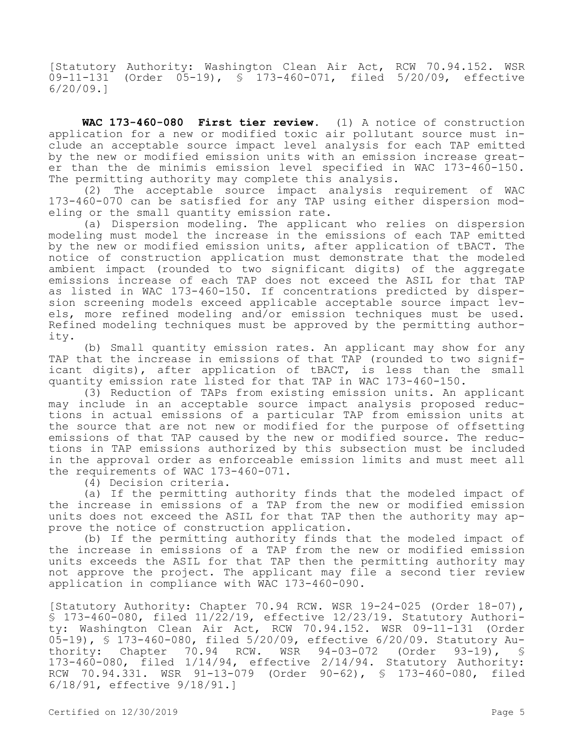[Statutory Authority: Washington Clean Air Act, RCW 70.94.152. WSR 09-11-131 (Order 05-19), § 173-460-071, filed 5/20/09, effective 6/20/09.]

**WAC 173-460-080 First tier review.** (1) A notice of construction application for a new or modified toxic air pollutant source must include an acceptable source impact level analysis for each TAP emitted by the new or modified emission units with an emission increase greater than the de minimis emission level specified in WAC 173-460-150. The permitting authority may complete this analysis.

(2) The acceptable source impact analysis requirement of WAC 173-460-070 can be satisfied for any TAP using either dispersion modeling or the small quantity emission rate.

(a) Dispersion modeling. The applicant who relies on dispersion modeling must model the increase in the emissions of each TAP emitted by the new or modified emission units, after application of tBACT. The notice of construction application must demonstrate that the modeled ambient impact (rounded to two significant digits) of the aggregate emissions increase of each TAP does not exceed the ASIL for that TAP as listed in WAC 173-460-150. If concentrations predicted by dispersion screening models exceed applicable acceptable source impact levels, more refined modeling and/or emission techniques must be used. Refined modeling techniques must be approved by the permitting authority.

(b) Small quantity emission rates. An applicant may show for any TAP that the increase in emissions of that TAP (rounded to two significant digits), after application of tBACT, is less than the small quantity emission rate listed for that TAP in WAC 173-460-150.

(3) Reduction of TAPs from existing emission units. An applicant may include in an acceptable source impact analysis proposed reductions in actual emissions of a particular TAP from emission units at the source that are not new or modified for the purpose of offsetting emissions of that TAP caused by the new or modified source. The reductions in TAP emissions authorized by this subsection must be included in the approval order as enforceable emission limits and must meet all the requirements of WAC 173-460-071.

(4) Decision criteria.

(a) If the permitting authority finds that the modeled impact of the increase in emissions of a TAP from the new or modified emission units does not exceed the ASIL for that TAP then the authority may approve the notice of construction application.

(b) If the permitting authority finds that the modeled impact of the increase in emissions of a TAP from the new or modified emission units exceeds the ASIL for that TAP then the permitting authority may not approve the project. The applicant may file a second tier review application in compliance with WAC 173-460-090.

[Statutory Authority: Chapter 70.94 RCW. WSR 19-24-025 (Order 18-07), § 173-460-080, filed 11/22/19, effective 12/23/19. Statutory Authority: Washington Clean Air Act, RCW 70.94.152. WSR 09-11-131 (Order 05-19), § 173-460-080, filed 5/20/09, effective 6/20/09. Statutory Authority: Chapter 70.94 RCW. WSR 94-03-072 (Order 93-19), § 173-460-080, filed 1/14/94, effective 2/14/94. Statutory Authority: RCW 70.94.331. WSR 91-13-079 (Order 90-62), § 173-460-080, filed 6/18/91, effective 9/18/91.]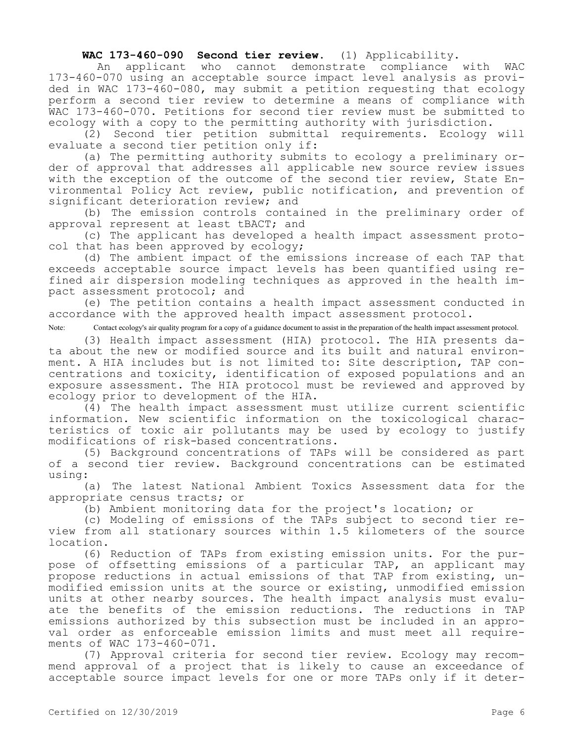## **WAC 173-460-090 Second tier review.** (1) Applicability.

 An applicant who cannot demonstrate compliance with WAC 173-460-070 using an acceptable source impact level analysis as provided in WAC 173-460-080, may submit a petition requesting that ecology perform a second tier review to determine a means of compliance with WAC 173-460-070. Petitions for second tier review must be submitted to ecology with a copy to the permitting authority with jurisdiction.

(2) Second tier petition submittal requirements. Ecology will evaluate a second tier petition only if:

(a) The permitting authority submits to ecology a preliminary order of approval that addresses all applicable new source review issues with the exception of the outcome of the second tier review, State Environmental Policy Act review, public notification, and prevention of significant deterioration review; and

(b) The emission controls contained in the preliminary order of approval represent at least tBACT; and

(c) The applicant has developed a health impact assessment protocol that has been approved by ecology;

(d) The ambient impact of the emissions increase of each TAP that exceeds acceptable source impact levels has been quantified using refined air dispersion modeling techniques as approved in the health impact assessment protocol; and

(e) The petition contains a health impact assessment conducted in accordance with the approved health impact assessment protocol.

Note: Contact ecology's air quality program for a copy of a guidance document to assist in the preparation of the health impact assessment protocol.

(3) Health impact assessment (HIA) protocol. The HIA presents data about the new or modified source and its built and natural environment. A HIA includes but is not limited to: Site description, TAP concentrations and toxicity, identification of exposed populations and an exposure assessment. The HIA protocol must be reviewed and approved by ecology prior to development of the HIA.

(4) The health impact assessment must utilize current scientific information. New scientific information on the toxicological characteristics of toxic air pollutants may be used by ecology to justify modifications of risk-based concentrations.

(5) Background concentrations of TAPs will be considered as part of a second tier review. Background concentrations can be estimated using:

(a) The latest National Ambient Toxics Assessment data for the appropriate census tracts; or

(b) Ambient monitoring data for the project's location; or

(c) Modeling of emissions of the TAPs subject to second tier review from all stationary sources within 1.5 kilometers of the source location.

(6) Reduction of TAPs from existing emission units. For the purpose of offsetting emissions of a particular TAP, an applicant may propose reductions in actual emissions of that TAP from existing, unmodified emission units at the source or existing, unmodified emission units at other nearby sources. The health impact analysis must evaluate the benefits of the emission reductions. The reductions in TAP emissions authorized by this subsection must be included in an approval order as enforceable emission limits and must meet all requirements of WAC 173-460-071.

(7) Approval criteria for second tier review. Ecology may recommend approval of a project that is likely to cause an exceedance of acceptable source impact levels for one or more TAPs only if it deter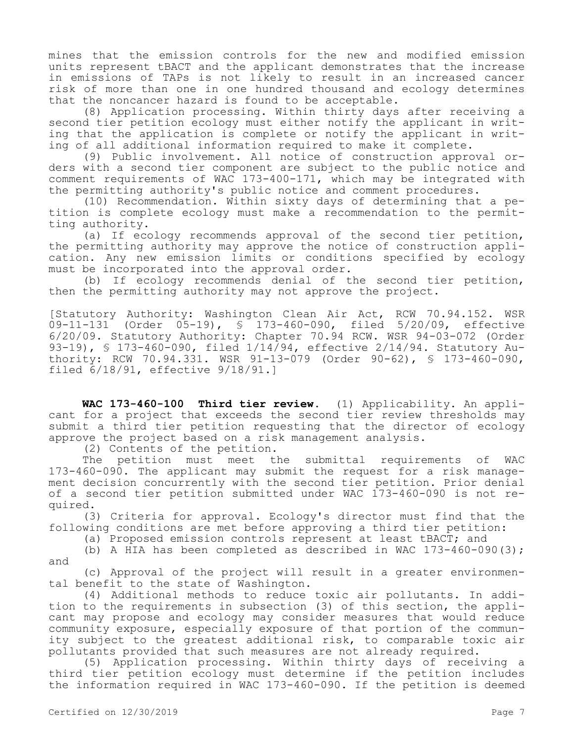mines that the emission controls for the new and modified emission units represent tBACT and the applicant demonstrates that the increase in emissions of TAPs is not likely to result in an increased cancer risk of more than one in one hundred thousand and ecology determines that the noncancer hazard is found to be acceptable.

(8) Application processing. Within thirty days after receiving a second tier petition ecology must either notify the applicant in writing that the application is complete or notify the applicant in writing of all additional information required to make it complete.

(9) Public involvement. All notice of construction approval orders with a second tier component are subject to the public notice and comment requirements of WAC 173-400-171, which may be integrated with the permitting authority's public notice and comment procedures.

(10) Recommendation. Within sixty days of determining that a petition is complete ecology must make a recommendation to the permitting authority.

(a) If ecology recommends approval of the second tier petition, the permitting authority may approve the notice of construction application. Any new emission limits or conditions specified by ecology must be incorporated into the approval order.

(b) If ecology recommends denial of the second tier petition, then the permitting authority may not approve the project.

[Statutory Authority: Washington Clean Air Act, RCW 70.94.152. WSR 09-11-131 (Order 05-19), § 173-460-090, filed 5/20/09, effective 6/20/09. Statutory Authority: Chapter 70.94 RCW. WSR 94-03-072 (Order 93-19), § 173-460-090, filed 1/14/94, effective 2/14/94. Statutory Authority: RCW 70.94.331. WSR 91-13-079 (Order 90-62), § 173-460-090, filed 6/18/91, effective 9/18/91.]

**WAC 173-460-100 Third tier review.** (1) Applicability. An applicant for a project that exceeds the second tier review thresholds may submit a third tier petition requesting that the director of ecology approve the project based on a risk management analysis.

(2) Contents of the petition.

The petition must meet the submittal requirements of WAC 173-460-090. The applicant may submit the request for a risk management decision concurrently with the second tier petition. Prior denial of a second tier petition submitted under WAC 173-460-090 is not required.

(3) Criteria for approval. Ecology's director must find that the following conditions are met before approving a third tier petition:

(a) Proposed emission controls represent at least tBACT; and

(b) A HIA has been completed as described in WAC  $173-460-090(3)$ ; and

(c) Approval of the project will result in a greater environmental benefit to the state of Washington.

(4) Additional methods to reduce toxic air pollutants. In addition to the requirements in subsection (3) of this section, the applicant may propose and ecology may consider measures that would reduce community exposure, especially exposure of that portion of the community subject to the greatest additional risk, to comparable toxic air pollutants provided that such measures are not already required.

(5) Application processing. Within thirty days of receiving a third tier petition ecology must determine if the petition includes the information required in WAC 173-460-090. If the petition is deemed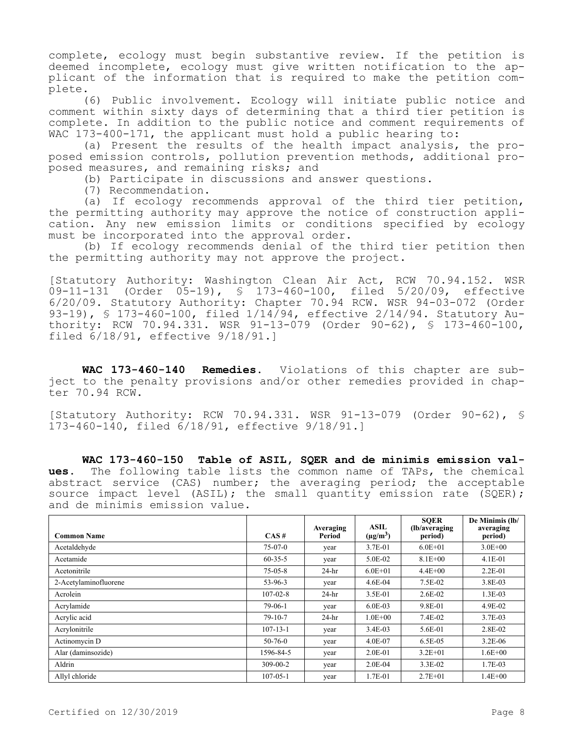complete, ecology must begin substantive review. If the petition is deemed incomplete, ecology must give written notification to the applicant of the information that is required to make the petition complete.

(6) Public involvement. Ecology will initiate public notice and comment within sixty days of determining that a third tier petition is complete. In addition to the public notice and comment requirements of WAC 173-400-171, the applicant must hold a public hearing to:

(a) Present the results of the health impact analysis, the proposed emission controls, pollution prevention methods, additional proposed measures, and remaining risks; and

(b) Participate in discussions and answer questions.

(7) Recommendation.

(a) If ecology recommends approval of the third tier petition, the permitting authority may approve the notice of construction application. Any new emission limits or conditions specified by ecology must be incorporated into the approval order.

(b) If ecology recommends denial of the third tier petition then the permitting authority may not approve the project.

[Statutory Authority: Washington Clean Air Act, RCW 70.94.152. WSR 09-11-131 (Order 05-19), § 173-460-100, filed 5/20/09, effective 6/20/09. Statutory Authority: Chapter 70.94 RCW. WSR 94-03-072 (Order 93-19), § 173-460-100, filed 1/14/94, effective 2/14/94. Statutory Authority: RCW 70.94.331. WSR 91-13-079 (Order 90-62), § 173-460-100, filed 6/18/91, effective 9/18/91.]

**WAC 173-460-140 Remedies.** Violations of this chapter are subject to the penalty provisions and/or other remedies provided in chapter 70.94 RCW.

[Statutory Authority: RCW 70.94.331. WSR 91-13-079 (Order 90-62), § 173-460-140, filed 6/18/91, effective 9/18/91.]

**WAC 173-460-150 Table of ASIL, SQER and de minimis emission values.** The following table lists the common name of TAPs, the chemical abstract service (CAS) number; the averaging period; the acceptable source impact level (ASIL); the small quantity emission rate (SQER); and de minimis emission value.

| <b>Common Name</b>    | CAS#           | Averaging<br>Period | ASIL<br>$(\mu g/m^3)$ | <b>SOER</b><br>(lb/averaging)<br>period) | De Minimis (lb/<br>averaging<br>period) |
|-----------------------|----------------|---------------------|-----------------------|------------------------------------------|-----------------------------------------|
| Acetaldehyde          | $75-07-0$      | year                | 3.7E-01               | $6.0E + 01$                              | $3.0E + 00$                             |
| Acetamide             | $60 - 35 - 5$  | year                | 5.0E-02               | $8.1E + 00$                              | $4.1E-01$                               |
| Acetonitrile          | $75 - 05 - 8$  | $24-hr$             | $6.0E + 01$           | $4.4E + 00$                              | $2.2E - 01$                             |
| 2-Acetylaminofluorene | $53-96-3$      | year                | $4.6E-04$             | 7.5E-02                                  | 3.8E-03                                 |
| Acrolein              | $107 - 02 - 8$ | $24-hr$             | 3.5E-01               | $2.6E-02$                                | $1.3E-03$                               |
| Acrylamide            | $79-06-1$      | year                | $6.0E-03$             | 9.8E-01                                  | 4.9E-02                                 |
| Acrylic acid          | $79-10-7$      | $24-hr$             | $1.0E + 00$           | 7.4E-02                                  | 3.7E-03                                 |
| Acrylonitrile         | $107 - 13 - 1$ | year                | $3.4E-03$             | 5.6E-01                                  | 2.8E-02                                 |
| Actinomycin D         | $50 - 76 - 0$  | year                | 4.0E-07               | $6.5E-0.5$                               | $3.2E-06$                               |
| Alar (daminsozide)    | 1596-84-5      | year                | $2.0E-01$             | $3.2E + 01$                              | $1.6E + 00$                             |
| Aldrin                | $309 - 00 - 2$ | year                | 2.0E-04               | $3.3E-02$                                | 1.7E-03                                 |
| Allyl chloride        | $107 - 05 - 1$ | year                | 1.7E-01               | $2.7E + 01$                              | $1.4E + 00$                             |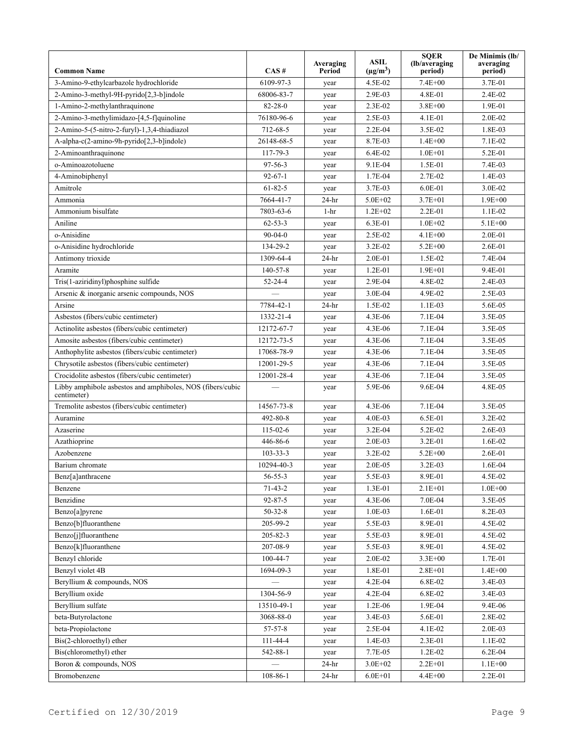| <b>Common Name</b>                                                        | CAS#           | Averaging<br>Period | <b>ASIL</b><br>$(\mu g/m^3)$ | <b>SQER</b><br>(lb/averaging)<br>period) | De Minimis (lb/<br>averaging<br>period) |
|---------------------------------------------------------------------------|----------------|---------------------|------------------------------|------------------------------------------|-----------------------------------------|
| 3-Amino-9-ethylcarbazole hydrochloride                                    | 6109-97-3      | year                | 4.5E-02                      | $7.4E + 00$                              | 3.7E-01                                 |
| 2-Amino-3-methyl-9H-pyrido[2,3-b]indole                                   | 68006-83-7     | year                | 2.9E-03                      | 4.8E-01                                  | $2.4E-02$                               |
| 1-Amino-2-methylanthraquinone                                             | $82 - 28 - 0$  | year                | 2.3E-02                      | $3.8E + 00$                              | 1.9E-01                                 |
| 2-Amino-3-methylimidazo-[4,5-f]quinoline                                  | 76180-96-6     | year                | $2.5E-03$                    | $4.1E - 01$                              | $2.0E-02$                               |
| 2-Amino-5-(5-nitro-2-furyl)-1,3,4-thiadiazol                              | 712-68-5       | year                | $2.2E-04$                    | 3.5E-02                                  | 1.8E-03                                 |
| A-alpha-c(2-amino-9h-pyrido[2,3-b]indole)                                 | 26148-68-5     | year                | 8.7E-03                      | $1.4E + 00$                              | 7.1E-02                                 |
| 2-Aminoanthraquinone                                                      | $117 - 79 - 3$ | year                | $6.4E-02$                    | $1.0E + 01$                              | 5.2E-01                                 |
| o-Aminoazotoluene                                                         | 97-56-3        | year                | 9.1E-04                      | 1.5E-01                                  | 7.4E-03                                 |
| 4-Aminobiphenyl                                                           | $92 - 67 - 1$  | year                | 1.7E-04                      | 2.7E-02                                  | $1.4E-03$                               |
| Amitrole                                                                  | $61 - 82 - 5$  | year                | 3.7E-03                      | $6.0E-01$                                | 3.0E-02                                 |
| Ammonia                                                                   | 7664-41-7      | $24-hr$             | $5.0E + 02$                  | $3.7E + 01$                              | $1.9E + 00$                             |
| Ammonium bisulfate                                                        | 7803-63-6      | $1-hr$              | $1.2E + 02$                  | $2.2E-01$                                | $1.1E-02$                               |
| Aniline                                                                   | $62 - 53 - 3$  | year                | $6.3E-01$                    | $1.0E + 02$                              | $5.1E + 00$                             |
| o-Anisidine                                                               | $90 - 04 - 0$  | year                | 2.5E-02                      | $4.1E + 00$                              | 2.0E-01                                 |
| o-Anisidine hydrochloride                                                 | 134-29-2       | year                | 3.2E-02                      | $5.2E + 00$                              | 2.6E-01                                 |
| Antimony trioxide                                                         | 1309-64-4      | $24-hr$             | $2.0E-01$                    | 1.5E-02                                  | 7.4E-04                                 |
| Aramite                                                                   | $140 - 57 - 8$ | year                | $1.2E - 01$                  | $1.9E + 01$                              | 9.4E-01                                 |
| Tris(1-aziridinyl)phosphine sulfide                                       | $52 - 24 - 4$  | year                | 2.9E-04                      | 4.8E-02                                  | 2.4E-03                                 |
| Arsenic & inorganic arsenic compounds, NOS                                |                | year                | $3.0E-04$                    | 4.9E-02                                  | $2.5E-03$                               |
| Arsine                                                                    | 7784-42-1      | $24-hr$             | 1.5E-02                      | $1.1E-03$                                | 5.6E-05                                 |
| Asbestos (fibers/cubic centimeter)                                        | 1332-21-4      | year                | 4.3E-06                      | 7.1E-04                                  | 3.5E-05                                 |
| Actinolite asbestos (fibers/cubic centimeter)                             | 12172-67-7     | year                | 4.3E-06                      | $7.1E-04$                                | 3.5E-05                                 |
| Amosite asbestos (fibers/cubic centimeter)                                | 12172-73-5     | year                | 4.3E-06                      | 7.1E-04                                  | 3.5E-05                                 |
| Anthophylite asbestos (fibers/cubic centimeter)                           | 17068-78-9     | year                | 4.3E-06                      | $7.1E-04$                                | 3.5E-05                                 |
| Chrysotile asbestos (fibers/cubic centimeter)                             | 12001-29-5     | year                | $4.3E-06$                    | $7.1E-04$                                | $3.5E-0.5$                              |
| Crocidolite asbestos (fibers/cubic centimeter)                            | 12001-28-4     | year                | 4.3E-06                      | 7.1E-04                                  | 3.5E-05                                 |
| Libby amphibole asbestos and amphiboles, NOS (fibers/cubic<br>centimeter) |                | year                | 5.9E-06                      | 9.6E-04                                  | 4.8E-05                                 |
| Tremolite asbestos (fibers/cubic centimeter)                              | 14567-73-8     | year                | 4.3E-06                      | 7.1E-04                                  | 3.5E-05                                 |
| Auramine                                                                  | 492-80-8       | year                | $4.0E-03$                    | 6.5E-01                                  | $3.2E-02$                               |
| Azaserine                                                                 | $115 - 02 - 6$ | year                | $3.2E-04$                    | 5.2E-02                                  | $2.6E-03$                               |
| Azathioprine                                                              | 446-86-6       | year                | $2.0E-03$                    | 3.2E-01                                  | $1.6E-02$                               |
| Azobenzene                                                                | $103 - 33 - 3$ | year                | 3.2E-02                      | $5.2E + 00$                              | 2.6E-01                                 |
| Barium chromate                                                           | 10294-40-3     | year                | $2.0E-05$                    | $3.2E-03$                                | $1.6E-04$                               |
| Benz[a]anthracene                                                         | $56 - 55 - 3$  | year                | 5.5E-03                      | 8.9E-01                                  | 4.5E-02                                 |
| Benzene                                                                   | $71 - 43 - 2$  | year                | 1.3E-01                      | $2.1E + 01$                              | $1.0E + 00$                             |
| Benzidine                                                                 | $92 - 87 - 5$  | year                | 4.3E-06                      | 7.0E-04                                  | 3.5E-05                                 |
| Benzo[a]pyrene                                                            | $50 - 32 - 8$  | year                | 1.0E-03                      | 1.6E-01                                  | 8.2E-03                                 |
| Benzo[b]fluoranthene                                                      | 205-99-2       | year                | 5.5E-03                      | 8.9E-01                                  | 4.5E-02                                 |
| Benzo[j]fluoranthene                                                      | 205-82-3       | year                | 5.5E-03                      | 8.9E-01                                  | 4.5E-02                                 |
| Benzo[k]fluoranthene                                                      | 207-08-9       | year                | 5.5E-03                      | 8.9E-01                                  | 4.5E-02                                 |
| Benzyl chloride                                                           | $100 - 44 - 7$ | year                | 2.0E-02                      | $3.3E + 00$                              | 1.7E-01                                 |
| Benzyl violet 4B                                                          | 1694-09-3      | year                | 1.8E-01                      | $2.8E + 01$                              | $1.4E + 00$                             |
| Beryllium & compounds, NOS                                                |                | year                | $4.2E - 04$                  | 6.8E-02                                  | 3.4E-03                                 |
| Beryllium oxide                                                           | 1304-56-9      | year                | $4.2E - 04$                  | 6.8E-02                                  | 3.4E-03                                 |
| Beryllium sulfate                                                         | 13510-49-1     | year                | $1.2E-06$                    | 1.9E-04                                  | 9.4E-06                                 |
| beta-Butyrolactone                                                        | 3068-88-0      | year                | 3.4E-03                      | 5.6E-01                                  | 2.8E-02                                 |
| beta-Propiolactone                                                        | $57 - 57 - 8$  | year                | 2.5E-04                      | 4.1E-02                                  | 2.0E-03                                 |
| Bis(2-chloroethyl) ether                                                  | 111-44-4       | year                | 1.4E-03                      | 2.3E-01                                  | $1.1E-02$                               |
| Bis(chloromethyl) ether                                                   | 542-88-1       | year                | 7.7E-05                      | $1.2E-02$                                | $6.2E-04$                               |
| Boron & compounds, NOS                                                    |                | $24-hr$             | $3.0E + 02$                  | $2.2E + 01$                              | $1.1E + 00$                             |
| Bromobenzene                                                              | $108 - 86 - 1$ | $24-hr$             | $6.0E + 01$                  | $4.4E + 00$                              | 2.2E-01                                 |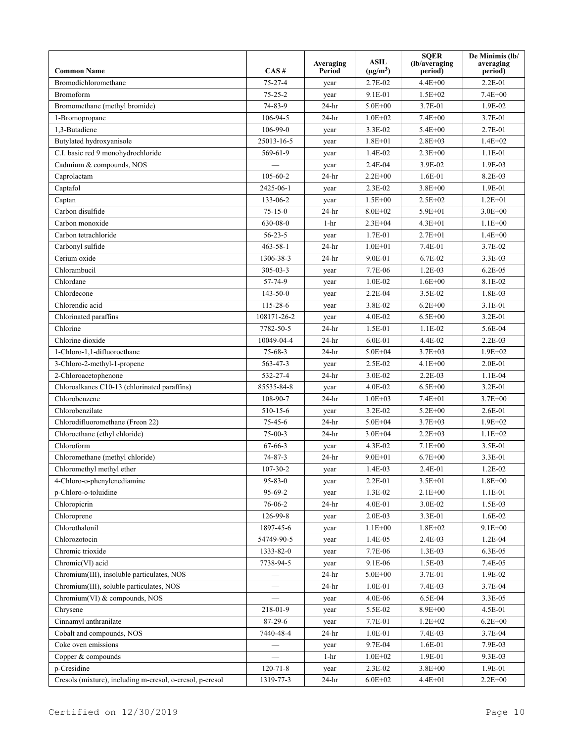|                                                           |                | Averaging | <b>ASIL</b><br>$(\mu g/m^3)$ | <b>SQER</b><br>(lb/averaging | De Minimis (lb/<br>averaging |
|-----------------------------------------------------------|----------------|-----------|------------------------------|------------------------------|------------------------------|
| <b>Common Name</b>                                        | CAS#           | Period    |                              | period)<br>$4.4E + 00$       | period)                      |
| Bromodichloromethane                                      | $75 - 27 - 4$  | year      | 2.7E-02                      |                              | $2.2E - 01$                  |
| <b>Bromoform</b>                                          | $75 - 25 - 2$  | year      | 9.1E-01                      | $1.5E + 02$                  | $7.4E + 00$                  |
| Bromomethane (methyl bromide)                             | 74-83-9        | $24-hr$   | $5.0E + 00$                  | 3.7E-01                      | 1.9E-02                      |
| 1-Bromopropane                                            | 106-94-5       | $24-hr$   | $1.0E + 02$                  | $7.4E + 00$                  | 3.7E-01                      |
| 1,3-Butadiene                                             | $106-99-0$     | year      | 3.3E-02                      | $5.4E + 00$                  | 2.7E-01                      |
| Butylated hydroxyanisole                                  | 25013-16-5     | year      | $1.8E + 01$                  | $2.8E + 03$                  | $1.4E + 02$                  |
| C.I. basic red 9 monohydrochloride                        | 569-61-9       | year      | 1.4E-02                      | $2.3E + 00$                  | $1.1E-01$                    |
| Cadmium & compounds, NOS                                  |                | year      | $2.4E-04$                    | 3.9E-02                      | 1.9E-03                      |
| Caprolactam                                               | $105 - 60 - 2$ | $24-hr$   | $2.2E + 00$                  | $1.6E-01$                    | 8.2E-03                      |
| Captafol                                                  | 2425-06-1      | year      | $2.3E-02$                    | $3.8E + 00$                  | 1.9E-01                      |
| Captan                                                    | 133-06-2       | year      | $1.5E + 00$                  | $2.5E + 02$                  | $1.2E + 01$                  |
| Carbon disulfide                                          | $75 - 15 - 0$  | $24-hr$   | $8.0E + 02$                  | 5.9E+01                      | $3.0E + 00$                  |
| Carbon monoxide                                           | 630-08-0       | $1-hr$    | $2.3E + 04$                  | $4.3E + 01$                  | $1.1E + 00$                  |
| Carbon tetrachloride                                      | $56 - 23 - 5$  | year      | 1.7E-01                      | $2.7E + 01$                  | $1.4E + 00$                  |
| Carbonyl sulfide                                          | $463 - 58 - 1$ | $24-hr$   | $1.0E + 01$                  | 7.4E-01                      | 3.7E-02                      |
| Cerium oxide                                              | 1306-38-3      | $24-hr$   | 9.0E-01                      | $6.7E-02$                    | 3.3E-03                      |
| Chlorambucil                                              | $305 - 03 - 3$ | year      | 7.7E-06                      | $1.2E-03$                    | $6.2E-05$                    |
| Chlordane                                                 | 57-74-9        | year      | $1.0E-02$                    | $1.6E + 00$                  | 8.1E-02                      |
| Chlordecone                                               | $143 - 50 - 0$ | year      | $2.2E-04$                    | 3.5E-02                      | 1.8E-03                      |
| Chlorendic acid                                           | 115-28-6       | year      | 3.8E-02                      | $6.2E + 00$                  | 3.1E-01                      |
| Chlorinated paraffins                                     | 108171-26-2    | year      | 4.0E-02                      | $6.5E + 00$                  | 3.2E-01                      |
| Chlorine                                                  | 7782-50-5      | $24-hr$   | 1.5E-01                      | $1.1E-02$                    | 5.6E-04                      |
| Chlorine dioxide                                          | 10049-04-4     | $24-hr$   | $6.0E-01$                    | 4.4E-02                      | $2.2E-03$                    |
| 1-Chloro-1,1-difluoroethane                               | $75 - 68 - 3$  | $24-hr$   | $5.0E + 04$                  | $3.7E + 03$                  | $1.9E + 02$                  |
| 3-Chloro-2-methyl-1-propene                               | 563-47-3       | year      | 2.5E-02                      | $4.1E + 00$                  | $2.0E-01$                    |
| 2-Chloroacetophenone                                      | 532-27-4       | $24-hr$   | 3.0E-02                      | $2.2E-03$                    | $1.1E-04$                    |
| Chloroalkanes C10-13 (chlorinated paraffins)              | 85535-84-8     | year      | 4.0E-02                      | $6.5E + 00$                  | 3.2E-01                      |
| Chlorobenzene                                             | 108-90-7       | $24-hr$   | $1.0E + 03$                  | $7.4E + 01$                  | $3.7E + 00$                  |
| Chlorobenzilate                                           | 510-15-6       | year      | 3.2E-02                      | $5.2E + 00$                  | 2.6E-01                      |
| Chlorodifluoromethane (Freon 22)                          | $75 - 45 - 6$  | $24-hr$   | $5.0E + 04$                  | $3.7E + 03$                  | $1.9E + 02$                  |
| Chloroethane (ethyl chloride)                             | $75-00-3$      | $24-hr$   | $3.0E + 04$                  | $2.2E + 0.3$                 | $1.1E + 02$                  |
| Chloroform                                                | $67 - 66 - 3$  | year      | 4.3E-02                      | $7.1E + 00$                  | 3.5E-01                      |
| Chloromethane (methyl chloride)                           | $74 - 87 - 3$  | $24-hr$   | $9.0E + 01$                  | $6.7E + 00$                  | 3.3E-01                      |
| Chloromethyl methyl ether                                 | $107 - 30 - 2$ | year      | $1.4E-03$                    | $2.4E-01$                    | 1.2E-02                      |
| 4-Chloro-o-phenylenediamine                               | $95 - 83 - 0$  | year      | 2.2E-01                      | $3.5E + 01$                  | $1.8E + 00$                  |
| p-Chloro-o-toluidine                                      | 95-69-2        | year      | 1.3E-02                      | $2.1E + 00$                  | 1.1E-01                      |
| Chloropicrin                                              | 76-06-2        | $24-hr$   | 4.0E-01                      | 3.0E-02                      | 1.5E-03                      |
| Chloroprene                                               | 126-99-8       | year      | 2.0E-03                      | 3.3E-01                      | 1.6E-02                      |
| Chlorothalonil                                            | 1897-45-6      | year      | $1.1E + 00$                  | $1.8E + 02$                  | $9.1E + 00$                  |
| Chlorozotocin                                             | 54749-90-5     | year      | 1.4E-05                      | 2.4E-03                      | 1.2E-04                      |
| Chromic trioxide                                          | 1333-82-0      | year      | 7.7E-06                      | 1.3E-03                      | 6.3E-05                      |
| Chromic(VI) acid                                          | 7738-94-5      | year      | 9.1E-06                      | 1.5E-03                      | 7.4E-05                      |
| Chromium(III), insoluble particulates, NOS                |                | $24-hr$   | $5.0E + 00$                  | 3.7E-01                      | 1.9E-02                      |
| Chromium(III), soluble particulates, NOS                  |                | 24-hr     | $1.0E-01$                    | 7.4E-03                      | 3.7E-04                      |
| Chromium(VI) & compounds, NOS                             |                | year      | $4.0E - 06$                  | 6.5E-04                      | 3.3E-05                      |
| Chrysene                                                  | 218-01-9       | year      | 5.5E-02                      | $8.9E + 00$                  | 4.5E-01                      |
| Cinnamyl anthranilate                                     | 87-29-6        | year      | 7.7E-01                      | $1.2E + 02$                  | $6.2E + 00$                  |
| Cobalt and compounds, NOS                                 | 7440-48-4      | $24-hr$   | 1.0E-01                      | 7.4E-03                      | 3.7E-04                      |
| Coke oven emissions                                       |                | year      | 9.7E-04                      | $1.6E-01$                    | 7.9E-03                      |
| Copper & compounds                                        |                | $1 - hr$  | $1.0E + 02$                  | 1.9E-01                      | 9.3E-03                      |
| p-Cresidine                                               | $120 - 71 - 8$ | year      | 2.3E-02                      | $3.8E + 00$                  | 1.9E-01                      |
| Cresols (mixture), including m-cresol, o-cresol, p-cresol | 1319-77-3      | $24-hr$   | $6.0E + 02$                  | $4.4E + 01$                  | $2.2E + 00$                  |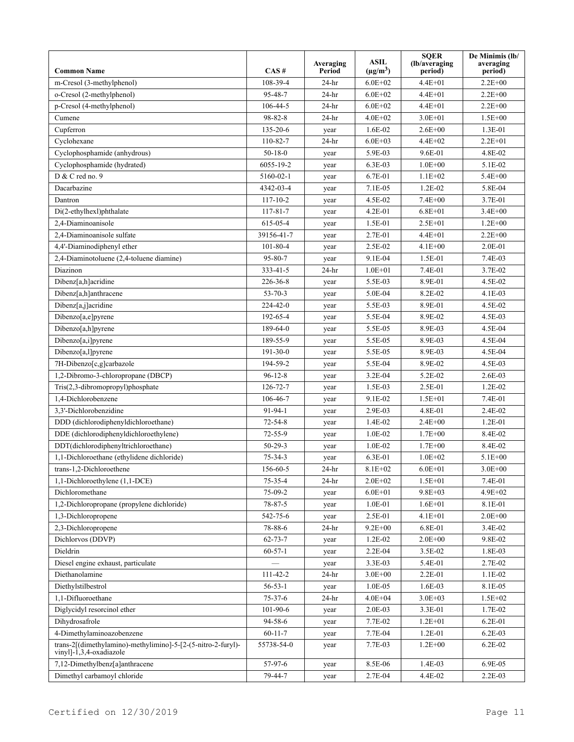| 108-39-4<br>$6.0E + 02$<br>$2.2E + 00$<br>m-Cresol (3-methylphenol)<br>$24-hr$<br>$4.4E + 01$<br>o-Cresol (2-methylphenol)<br>95-48-7<br>$24-hr$<br>$6.0E + 02$<br>$4.4E + 01$<br>$2.2E + 00$<br>p-Cresol (4-methylphenol)<br>106-44-5<br>$4.4E + 01$<br>$2.2E + 00$<br>$24-hr$<br>$6.0E + 02$<br>98-82-8<br>Cumene<br>$24-hr$<br>$4.0E + 02$<br>$3.0E + 01$<br>$1.5E + 00$ |  |
|-----------------------------------------------------------------------------------------------------------------------------------------------------------------------------------------------------------------------------------------------------------------------------------------------------------------------------------------------------------------------------|--|
|                                                                                                                                                                                                                                                                                                                                                                             |  |
|                                                                                                                                                                                                                                                                                                                                                                             |  |
|                                                                                                                                                                                                                                                                                                                                                                             |  |
|                                                                                                                                                                                                                                                                                                                                                                             |  |
| Cupferron<br>135-20-6<br>1.6E-02<br>$2.6E + 00$<br>1.3E-01<br>year                                                                                                                                                                                                                                                                                                          |  |
| $2.2E + 01$<br>Cyclohexane<br>110-82-7<br>$24-hr$<br>$6.0E + 03$<br>$4.4E + 02$                                                                                                                                                                                                                                                                                             |  |
| Cyclophosphamide (anhydrous)<br>$50 - 18 - 0$<br>4.8E-02<br>5.9E-03<br>9.6E-01<br>year                                                                                                                                                                                                                                                                                      |  |
| Cyclophosphamide (hydrated)<br>6055-19-2<br>6.3E-03<br>$1.0E + 00$<br>5.1E-02<br>year                                                                                                                                                                                                                                                                                       |  |
| D & C red no. 9<br>$5.4E + 00$<br>5160-02-1<br>6.7E-01<br>$1.1E + 02$<br>year                                                                                                                                                                                                                                                                                               |  |
| Dacarbazine<br>$1.2E-02$<br>5.8E-04<br>4342-03-4<br>7.1E-05<br>year                                                                                                                                                                                                                                                                                                         |  |
| $7.4E + 00$<br>3.7E-01<br>$117 - 10 - 2$<br>4.5E-02<br>Dantron<br>year                                                                                                                                                                                                                                                                                                      |  |
| $6.8E + 01$<br>$3.4E + 00$<br>Di(2-ethylhexl)phthalate<br>$117 - 81 - 7$<br>$4.2E - 01$<br>year                                                                                                                                                                                                                                                                             |  |
| 2,4-Diaminoanisole<br>$1.2E + 00$<br>615-05-4<br>$1.5E-01$<br>$2.5E + 01$<br>year                                                                                                                                                                                                                                                                                           |  |
| 2,4-Diaminoanisole sulfate<br>$2.2E + 00$<br>39156-41-7<br>2.7E-01<br>$4.4E + 01$<br>year                                                                                                                                                                                                                                                                                   |  |
| 4,4'-Diaminodiphenyl ether<br>$101 - 80 - 4$<br>2.5E-02<br>$4.1E + 00$<br>2.0E-01<br>year                                                                                                                                                                                                                                                                                   |  |
| 95-80-7<br>1.5E-01<br>7.4E-03<br>2,4-Diaminotoluene (2,4-toluene diamine)<br>9.1E-04<br>year                                                                                                                                                                                                                                                                                |  |
| Diazinon<br>333-41-5<br>$24-hr$<br>$1.0E + 01$<br>7.4E-01<br>3.7E-02                                                                                                                                                                                                                                                                                                        |  |
| Dibenz[a,h]acridine<br>226-36-8<br>5.5E-03<br>8.9E-01<br>4.5E-02<br>year                                                                                                                                                                                                                                                                                                    |  |
| Dibenz[a,h]anthracene<br>$53 - 70 - 3$<br>5.0E-04<br>8.2E-02<br>$4.1E-03$<br>year                                                                                                                                                                                                                                                                                           |  |
| Dibenz[a,j]acridine<br>224-42-0<br>5.5E-03<br>8.9E-01<br>4.5E-02<br>year                                                                                                                                                                                                                                                                                                    |  |
| 192-65-4<br>5.5E-04<br>8.9E-02<br>4.5E-03<br>Dibenzo[a,e]pyrene<br>year                                                                                                                                                                                                                                                                                                     |  |
| Dibenzo[a,h]pyrene<br>189-64-0<br>8.9E-03<br>4.5E-04<br>5.5E-05<br>year                                                                                                                                                                                                                                                                                                     |  |
| Dibenzo[a,i]pyrene<br>189-55-9<br>5.5E-05<br>8.9E-03<br>4.5E-04<br>year                                                                                                                                                                                                                                                                                                     |  |
| Dibenzo[a,l]pyrene<br>8.9E-03<br>4.5E-04<br>$191 - 30 - 0$<br>5.5E-05<br>year                                                                                                                                                                                                                                                                                               |  |
| 7H-Dibenzo[c,g]carbazole<br>194-59-2<br>5.5E-04<br>8.9E-02<br>4.5E-03<br>year                                                                                                                                                                                                                                                                                               |  |
| 1,2-Dibromo-3-chloropropane (DBCP)<br>$96 - 12 - 8$<br>$3.2E-04$<br>5.2E-02<br>$2.6E-03$<br>year                                                                                                                                                                                                                                                                            |  |
| Tris(2,3-dibromopropyl)phosphate<br>2.5E-01<br>$1.2E-02$<br>126-72-7<br>1.5E-03<br>year                                                                                                                                                                                                                                                                                     |  |
| 1,4-Dichlorobenzene<br>106-46-7<br>7.4E-01<br>9.1E-02<br>$1.5E + 01$<br>year                                                                                                                                                                                                                                                                                                |  |
| 3,3'-Dichlorobenzidine<br>$91 - 94 - 1$<br>2.9E-03<br>4.8E-01<br>2.4E-02<br>year                                                                                                                                                                                                                                                                                            |  |
| $1.2E - 01$<br>DDD (dichlorodiphenyldichloroethane)<br>$72 - 54 - 8$<br>1.4E-02<br>$2.4E + 00$<br>year                                                                                                                                                                                                                                                                      |  |
| DDE (dichlorodiphenyldichloroethylene)<br>$72 - 55 - 9$<br>8.4E-02<br>1.0E-02<br>$1.7E + 00$<br>year                                                                                                                                                                                                                                                                        |  |
| DDT(dichlorodiphenyltrichloroethane)<br>$50-29-3$<br>1.0E-02<br>$1.7E + 00$<br>8.4E-02<br>year                                                                                                                                                                                                                                                                              |  |
| 1,1-Dichloroethane (ethylidene dichloride)<br>$75 - 34 - 3$<br>6.3E-01<br>$1.0E + 02$<br>$5.1E + 00$<br>year                                                                                                                                                                                                                                                                |  |
| $8.1E + 02$<br>$6.0E + 01$<br>$3.0E + 00$<br>trans-1,2-Dichloroethene<br>156-60-5<br>$24-hr$                                                                                                                                                                                                                                                                                |  |
| $75 - 35 - 4$<br>$2.0E + 02$<br>7.4E-01<br>1,1-Dichloroethylene (1,1-DCE)<br>$24-hr$<br>$1.5E + 01$                                                                                                                                                                                                                                                                         |  |
| $9.8E + 03$<br>4.9E+02<br>Dichloromethane<br>75-09-2<br>$6.0E + 01$<br>year                                                                                                                                                                                                                                                                                                 |  |
| 1,2-Dichloropropane (propylene dichloride)<br>$78 - 87 - 5$<br>$1.0E-01$<br>$1.6E + 01$<br>8.1E-01<br>year                                                                                                                                                                                                                                                                  |  |
| 1,3-Dichloropropene<br>$2.0E + 00$<br>542-75-6<br>2.5E-01<br>4.1E+01<br>year                                                                                                                                                                                                                                                                                                |  |
| 2,3-Dichloropropene<br>78-88-6<br>$9.2E + 00$<br>6.8E-01<br>3.4E-02<br>24-hr                                                                                                                                                                                                                                                                                                |  |
| Dichlorvos (DDVP)<br>$62 - 73 - 7$<br>1.2E-02<br>$2.0E + 00$<br>9.8E-02<br>year                                                                                                                                                                                                                                                                                             |  |
| Dieldrin<br>$60 - 57 - 1$<br>1.8E-03<br>$2.2E-04$<br>3.5E-02<br>year                                                                                                                                                                                                                                                                                                        |  |
| Diesel engine exhaust, particulate<br>2.7E-02<br>3.3E-03<br>5.4E-01<br>year                                                                                                                                                                                                                                                                                                 |  |
| Diethanolamine<br>111-42-2<br>$24-hr$<br>$3.0E + 00$<br>2.2E-01<br>$1.1E-02$                                                                                                                                                                                                                                                                                                |  |
| Diethylstilbestrol<br>$56 - 53 - 1$<br>1.0E-05<br>1.6E-03<br>8.1E-05<br>year                                                                                                                                                                                                                                                                                                |  |
| 1,1-Difluoroethane<br>$75 - 37 - 6$<br>$4.0E + 04$<br>$3.0E + 03$<br>$1.5E + 02$<br>24-hr                                                                                                                                                                                                                                                                                   |  |
| Diglycidyl resorcinol ether<br>101-90-6<br>2.0E-03<br>3.3E-01<br>1.7E-02<br>year                                                                                                                                                                                                                                                                                            |  |
| Dihydrosafrole<br>94-58-6<br>7.7E-02<br>$1.2E + 01$<br>6.2E-01<br>year                                                                                                                                                                                                                                                                                                      |  |
| 4-Dimethylaminoazobenzene<br>$60 - 11 - 7$<br>7.7E-04<br>$1.2E-01$<br>$6.2E-03$<br>year                                                                                                                                                                                                                                                                                     |  |
| trans-2[(dimethylamino)-methylimino]-5-[2-(5-nitro-2-furyl)-<br>$1.2E + 00$<br>$6.2E - 02$<br>55738-54-0<br>7.7E-03<br>year<br>vinyl]-1,3,4-oxadiazole                                                                                                                                                                                                                      |  |
| 6.9E-05<br>7,12-Dimethylbenz[a]anthracene<br>57-97-6<br>8.5E-06<br>1.4E-03<br>year                                                                                                                                                                                                                                                                                          |  |
| Dimethyl carbamoyl chloride<br>79-44-7<br>2.7E-04<br>4.4E-02<br>2.2E-03<br>year                                                                                                                                                                                                                                                                                             |  |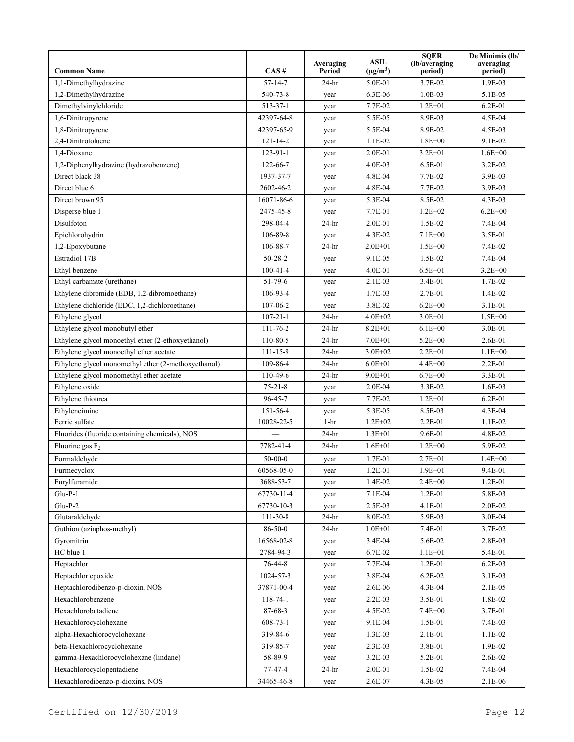| 1.9E-03<br>1,1-Dimethylhydrazine<br>$57 - 14 - 7$<br>$24-hr$<br>5.0E-01<br>3.7E-02<br>1,2-Dimethylhydrazine<br>$1.0E-03$<br>5.1E-05<br>540-73-8<br>6.3E-06<br>year<br>Dimethylvinylchloride<br>7.7E-02<br>$1.2E + 01$<br>$6.2E - 01$<br>513-37-1<br>year<br>1,6-Dinitropyrene<br>42397-64-8<br>5.5E-05<br>8.9E-03<br>4.5E-04<br>year<br>1,8-Dinitropyrene<br>42397-65-9<br>5.5E-04<br>8.9E-02<br>4.5E-03<br>year<br>2,4-Dinitrotoluene<br>$1.8E + 00$<br>9.1E-02<br>$121 - 14 - 2$<br>$1.1E-02$<br>year<br>1,4-Dioxane<br>123-91-1<br>2.0E-01<br>$3.2E + 01$<br>$1.6E + 00$<br>year<br>$4.0E-03$<br>6.5E-01<br>3.2E-02<br>1,2-Diphenylhydrazine (hydrazobenzene)<br>122-66-7<br>year<br>Direct black 38<br>4.8E-04<br>7.7E-02<br>3.9E-03<br>1937-37-7<br>year<br>7.7E-02<br>3.9E-03<br>Direct blue 6<br>2602-46-2<br>4.8E-04<br>year<br>5.3E-04<br>8.5E-02<br>4.3E-03<br>Direct brown 95<br>16071-86-6<br>year<br>$6.2E + 00$<br>Disperse blue 1<br>2475-45-8<br>7.7E-01<br>$1.2E + 02$<br>year<br>Disulfoton<br>7.4E-04<br>298-04-4<br>$24-hr$<br>2.0E-01<br>1.5E-02<br>106-89-8<br>$7.1E + 00$<br>3.5E-01<br>Epichlorohydrin<br>4.3E-02<br>year<br>1,2-Epoxybutane<br>106-88-7<br>$24-hr$<br>$2.0E + 01$<br>$1.5E + 00$<br>7.4E-02<br>Estradiol 17B<br>$50 - 28 - 2$<br>9.1E-05<br>1.5E-02<br>7.4E-04<br>year<br>Ethyl benzene<br>$100 - 41 - 4$<br>4.0E-01<br>$6.5E + 01$<br>$3.2E + 00$<br>year<br>Ethyl carbamate (urethane)<br>$51 - 79 - 6$<br>$2.1E-03$<br>3.4E-01<br>1.7E-02<br>year<br>Ethylene dibromide (EDB, 1,2-dibromoethane)<br>106-93-4<br>1.7E-03<br>2.7E-01<br>1.4E-02<br>year<br>Ethylene dichloride (EDC, 1,2-dichloroethane)<br>107-06-2<br>3.8E-02<br>3.1E-01<br>$6.2E + 00$<br>year<br>$1.5E + 00$<br>Ethylene glycol<br>$107 - 21 - 1$<br>$24-hr$<br>$4.0E + 02$<br>$3.0E + 01$<br>Ethylene glycol monobutyl ether<br>$111 - 76 - 2$<br>$24-hr$<br>$8.2E + 01$<br>$6.1E + 00$<br>3.0E-01<br>2.6E-01<br>Ethylene glycol monoethyl ether (2-ethoxyethanol)<br>$110 - 80 - 5$<br>$7.0E + 01$<br>$5.2E + 00$<br>$24-hr$<br>Ethylene glycol monoethyl ether acetate<br>$111 - 15 - 9$<br>$24-hr$<br>$3.0E + 02$<br>$2.2E + 01$<br>$1.1E + 00$<br>Ethylene glycol monomethyl ether (2-methoxyethanol)<br>109-86-4<br>$6.0E + 01$<br>$4.4E + 00$<br>2.2E-01<br>$24-hr$<br>Ethylene glycol monomethyl ether acetate<br>110-49-6<br>3.3E-01<br>$24-hr$<br>$9.0E + 01$<br>$6.7E + 00$<br>Ethylene oxide<br>$75 - 21 - 8$<br>$2.0E-04$<br>3.3E-02<br>$1.6E-03$<br>year<br>Ethylene thiourea<br>$96 - 45 - 7$<br>7.7E-02<br>$1.2E + 01$<br>$6.2E - 01$<br>year<br>4.3E-04<br>Ethyleneimine<br>151-56-4<br>5.3E-05<br>8.5E-03<br>year<br>Ferric sulfate<br>10028-22-5<br>$1-hr$<br>$1.2E + 02$<br>2.2E-01<br>$1.1E-02$<br>Fluorides (fluoride containing chemicals), NOS<br>$24-hr$<br>$1.3E + 01$<br>9.6E-01<br>4.8E-02<br>5.9E-02<br>Fluorine gas $F_2$<br>7782-41-4<br>$24-hr$<br>$1.6E + 01$<br>$1.2E + 00$<br>Formaldehyde<br>$50-00-0$<br>1.7E-01<br>$2.7E + 01$<br>$1.4E + 00$<br>year<br>60568-05-0<br>$1.2E-01$<br>$1.9E + 01$<br>9.4E-01<br>Furmecyclox<br>year<br>Furylfuramide<br>3688-53-7<br>1.4E-02<br>$2.4E + 00$<br>$1.2E-01$<br>year<br>$Glu-P-1$<br>7.1E-04<br>$1.2E - 01$<br>5.8E-03<br>67730-11-4<br>year<br>$Glu-P-2$<br>2.0E-02<br>67730-10-3<br>2.5E-03<br>4.1E-01<br>year<br>$111 - 30 - 8$<br>$24-hr$<br>8.0E-02<br>5.9E-03<br>3.0E-04<br>Glutaraldehyde<br>Guthion (azinphos-methyl)<br>$86 - 50 - 0$<br>$24-hr$<br>$1.0E + 01$<br>7.4E-01<br>3.7E-02<br>Gyromitrin<br>16568-02-8<br>3.4E-04<br>5.6E-02<br>2.8E-03<br>year<br>HC blue 1<br>2784-94-3<br>6.7E-02<br>$1.1E + 01$<br>5.4E-01<br>year<br>Heptachlor<br>76-44-8<br>7.7E-04<br>$1.2E - 01$<br>$6.2E-03$<br>year<br>3.8E-04<br>$6.2E-02$<br>3.1E-03<br>Heptachlor epoxide<br>1024-57-3<br>year<br>Heptachlorodibenzo-p-dioxin, NOS<br>37871-00-4<br>2.6E-06<br>4.3E-04<br>2.1E-05<br>year<br>Hexachlorobenzene<br>$2.2E-03$<br>3.5E-01<br>1.8E-02<br>$118 - 74 - 1$<br>year<br>Hexachlorobutadiene<br>3.7E-01<br>$87 - 68 - 3$<br>4.5E-02<br>$7.4E + 00$<br>year<br>Hexachlorocyclohexane<br>9.1E-04<br>1.5E-01<br>7.4E-03<br>$608 - 73 - 1$<br>year<br>alpha-Hexachlorocyclohexane<br>$2.1E-01$<br>319-84-6<br>1.3E-03<br>1.1E-02<br>year<br>beta-Hexachlorocyclohexane<br>3.8E-01<br>319-85-7<br>2.3E-03<br>1.9E-02<br>year<br>gamma-Hexachlorocyclohexane (lindane)<br>58-89-9<br>$3.2E-03$<br>5.2E-01<br>2.6E-02<br>year<br>Hexachlorocyclopentadiene<br>77-47-4<br>2.0E-01<br>1.5E-02<br>7.4E-04<br>24-hr<br>Hexachlorodibenzo-p-dioxins, NOS<br>34465-46-8<br>2.6E-07<br>4.3E-05<br>2.1E-06<br>year | <b>Common Name</b> | CAS# | Averaging<br>Period | <b>ASIL</b><br>$(\mu g/m^3)$ | <b>SQER</b><br>(lb/averaging)<br>period) | De Minimis (lb/<br>averaging<br>period) |
|-----------------------------------------------------------------------------------------------------------------------------------------------------------------------------------------------------------------------------------------------------------------------------------------------------------------------------------------------------------------------------------------------------------------------------------------------------------------------------------------------------------------------------------------------------------------------------------------------------------------------------------------------------------------------------------------------------------------------------------------------------------------------------------------------------------------------------------------------------------------------------------------------------------------------------------------------------------------------------------------------------------------------------------------------------------------------------------------------------------------------------------------------------------------------------------------------------------------------------------------------------------------------------------------------------------------------------------------------------------------------------------------------------------------------------------------------------------------------------------------------------------------------------------------------------------------------------------------------------------------------------------------------------------------------------------------------------------------------------------------------------------------------------------------------------------------------------------------------------------------------------------------------------------------------------------------------------------------------------------------------------------------------------------------------------------------------------------------------------------------------------------------------------------------------------------------------------------------------------------------------------------------------------------------------------------------------------------------------------------------------------------------------------------------------------------------------------------------------------------------------------------------------------------------------------------------------------------------------------------------------------------------------------------------------------------------------------------------------------------------------------------------------------------------------------------------------------------------------------------------------------------------------------------------------------------------------------------------------------------------------------------------------------------------------------------------------------------------------------------------------------------------------------------------------------------------------------------------------------------------------------------------------------------------------------------------------------------------------------------------------------------------------------------------------------------------------------------------------------------------------------------------------------------------------------------------------------------------------------------------------------------------------------------------------------------------------------------------------------------------------------------------------------------------------------------------------------------------------------------------------------------------------------------------------------------------------------------------------------------------------------------------------------------------------------------------------------------------------------------------------------------------------------------------------------------------------------------------------------------------------------------------------------------------------------------------------------------------------------------------------------------------------------------------------------------------------------------------------------------------------------------------------------------------------------------------------------------------------------------|--------------------|------|---------------------|------------------------------|------------------------------------------|-----------------------------------------|
|                                                                                                                                                                                                                                                                                                                                                                                                                                                                                                                                                                                                                                                                                                                                                                                                                                                                                                                                                                                                                                                                                                                                                                                                                                                                                                                                                                                                                                                                                                                                                                                                                                                                                                                                                                                                                                                                                                                                                                                                                                                                                                                                                                                                                                                                                                                                                                                                                                                                                                                                                                                                                                                                                                                                                                                                                                                                                                                                                                                                                                                                                                                                                                                                                                                                                                                                                                                                                                                                                                                                                                                                                                                                                                                                                                                                                                                                                                                                                                                                                                                                                                                                                                                                                                                                                                                                                                                                                                                                                                                                                                                                           |                    |      |                     |                              |                                          |                                         |
|                                                                                                                                                                                                                                                                                                                                                                                                                                                                                                                                                                                                                                                                                                                                                                                                                                                                                                                                                                                                                                                                                                                                                                                                                                                                                                                                                                                                                                                                                                                                                                                                                                                                                                                                                                                                                                                                                                                                                                                                                                                                                                                                                                                                                                                                                                                                                                                                                                                                                                                                                                                                                                                                                                                                                                                                                                                                                                                                                                                                                                                                                                                                                                                                                                                                                                                                                                                                                                                                                                                                                                                                                                                                                                                                                                                                                                                                                                                                                                                                                                                                                                                                                                                                                                                                                                                                                                                                                                                                                                                                                                                                           |                    |      |                     |                              |                                          |                                         |
|                                                                                                                                                                                                                                                                                                                                                                                                                                                                                                                                                                                                                                                                                                                                                                                                                                                                                                                                                                                                                                                                                                                                                                                                                                                                                                                                                                                                                                                                                                                                                                                                                                                                                                                                                                                                                                                                                                                                                                                                                                                                                                                                                                                                                                                                                                                                                                                                                                                                                                                                                                                                                                                                                                                                                                                                                                                                                                                                                                                                                                                                                                                                                                                                                                                                                                                                                                                                                                                                                                                                                                                                                                                                                                                                                                                                                                                                                                                                                                                                                                                                                                                                                                                                                                                                                                                                                                                                                                                                                                                                                                                                           |                    |      |                     |                              |                                          |                                         |
|                                                                                                                                                                                                                                                                                                                                                                                                                                                                                                                                                                                                                                                                                                                                                                                                                                                                                                                                                                                                                                                                                                                                                                                                                                                                                                                                                                                                                                                                                                                                                                                                                                                                                                                                                                                                                                                                                                                                                                                                                                                                                                                                                                                                                                                                                                                                                                                                                                                                                                                                                                                                                                                                                                                                                                                                                                                                                                                                                                                                                                                                                                                                                                                                                                                                                                                                                                                                                                                                                                                                                                                                                                                                                                                                                                                                                                                                                                                                                                                                                                                                                                                                                                                                                                                                                                                                                                                                                                                                                                                                                                                                           |                    |      |                     |                              |                                          |                                         |
|                                                                                                                                                                                                                                                                                                                                                                                                                                                                                                                                                                                                                                                                                                                                                                                                                                                                                                                                                                                                                                                                                                                                                                                                                                                                                                                                                                                                                                                                                                                                                                                                                                                                                                                                                                                                                                                                                                                                                                                                                                                                                                                                                                                                                                                                                                                                                                                                                                                                                                                                                                                                                                                                                                                                                                                                                                                                                                                                                                                                                                                                                                                                                                                                                                                                                                                                                                                                                                                                                                                                                                                                                                                                                                                                                                                                                                                                                                                                                                                                                                                                                                                                                                                                                                                                                                                                                                                                                                                                                                                                                                                                           |                    |      |                     |                              |                                          |                                         |
|                                                                                                                                                                                                                                                                                                                                                                                                                                                                                                                                                                                                                                                                                                                                                                                                                                                                                                                                                                                                                                                                                                                                                                                                                                                                                                                                                                                                                                                                                                                                                                                                                                                                                                                                                                                                                                                                                                                                                                                                                                                                                                                                                                                                                                                                                                                                                                                                                                                                                                                                                                                                                                                                                                                                                                                                                                                                                                                                                                                                                                                                                                                                                                                                                                                                                                                                                                                                                                                                                                                                                                                                                                                                                                                                                                                                                                                                                                                                                                                                                                                                                                                                                                                                                                                                                                                                                                                                                                                                                                                                                                                                           |                    |      |                     |                              |                                          |                                         |
|                                                                                                                                                                                                                                                                                                                                                                                                                                                                                                                                                                                                                                                                                                                                                                                                                                                                                                                                                                                                                                                                                                                                                                                                                                                                                                                                                                                                                                                                                                                                                                                                                                                                                                                                                                                                                                                                                                                                                                                                                                                                                                                                                                                                                                                                                                                                                                                                                                                                                                                                                                                                                                                                                                                                                                                                                                                                                                                                                                                                                                                                                                                                                                                                                                                                                                                                                                                                                                                                                                                                                                                                                                                                                                                                                                                                                                                                                                                                                                                                                                                                                                                                                                                                                                                                                                                                                                                                                                                                                                                                                                                                           |                    |      |                     |                              |                                          |                                         |
|                                                                                                                                                                                                                                                                                                                                                                                                                                                                                                                                                                                                                                                                                                                                                                                                                                                                                                                                                                                                                                                                                                                                                                                                                                                                                                                                                                                                                                                                                                                                                                                                                                                                                                                                                                                                                                                                                                                                                                                                                                                                                                                                                                                                                                                                                                                                                                                                                                                                                                                                                                                                                                                                                                                                                                                                                                                                                                                                                                                                                                                                                                                                                                                                                                                                                                                                                                                                                                                                                                                                                                                                                                                                                                                                                                                                                                                                                                                                                                                                                                                                                                                                                                                                                                                                                                                                                                                                                                                                                                                                                                                                           |                    |      |                     |                              |                                          |                                         |
|                                                                                                                                                                                                                                                                                                                                                                                                                                                                                                                                                                                                                                                                                                                                                                                                                                                                                                                                                                                                                                                                                                                                                                                                                                                                                                                                                                                                                                                                                                                                                                                                                                                                                                                                                                                                                                                                                                                                                                                                                                                                                                                                                                                                                                                                                                                                                                                                                                                                                                                                                                                                                                                                                                                                                                                                                                                                                                                                                                                                                                                                                                                                                                                                                                                                                                                                                                                                                                                                                                                                                                                                                                                                                                                                                                                                                                                                                                                                                                                                                                                                                                                                                                                                                                                                                                                                                                                                                                                                                                                                                                                                           |                    |      |                     |                              |                                          |                                         |
|                                                                                                                                                                                                                                                                                                                                                                                                                                                                                                                                                                                                                                                                                                                                                                                                                                                                                                                                                                                                                                                                                                                                                                                                                                                                                                                                                                                                                                                                                                                                                                                                                                                                                                                                                                                                                                                                                                                                                                                                                                                                                                                                                                                                                                                                                                                                                                                                                                                                                                                                                                                                                                                                                                                                                                                                                                                                                                                                                                                                                                                                                                                                                                                                                                                                                                                                                                                                                                                                                                                                                                                                                                                                                                                                                                                                                                                                                                                                                                                                                                                                                                                                                                                                                                                                                                                                                                                                                                                                                                                                                                                                           |                    |      |                     |                              |                                          |                                         |
|                                                                                                                                                                                                                                                                                                                                                                                                                                                                                                                                                                                                                                                                                                                                                                                                                                                                                                                                                                                                                                                                                                                                                                                                                                                                                                                                                                                                                                                                                                                                                                                                                                                                                                                                                                                                                                                                                                                                                                                                                                                                                                                                                                                                                                                                                                                                                                                                                                                                                                                                                                                                                                                                                                                                                                                                                                                                                                                                                                                                                                                                                                                                                                                                                                                                                                                                                                                                                                                                                                                                                                                                                                                                                                                                                                                                                                                                                                                                                                                                                                                                                                                                                                                                                                                                                                                                                                                                                                                                                                                                                                                                           |                    |      |                     |                              |                                          |                                         |
|                                                                                                                                                                                                                                                                                                                                                                                                                                                                                                                                                                                                                                                                                                                                                                                                                                                                                                                                                                                                                                                                                                                                                                                                                                                                                                                                                                                                                                                                                                                                                                                                                                                                                                                                                                                                                                                                                                                                                                                                                                                                                                                                                                                                                                                                                                                                                                                                                                                                                                                                                                                                                                                                                                                                                                                                                                                                                                                                                                                                                                                                                                                                                                                                                                                                                                                                                                                                                                                                                                                                                                                                                                                                                                                                                                                                                                                                                                                                                                                                                                                                                                                                                                                                                                                                                                                                                                                                                                                                                                                                                                                                           |                    |      |                     |                              |                                          |                                         |
|                                                                                                                                                                                                                                                                                                                                                                                                                                                                                                                                                                                                                                                                                                                                                                                                                                                                                                                                                                                                                                                                                                                                                                                                                                                                                                                                                                                                                                                                                                                                                                                                                                                                                                                                                                                                                                                                                                                                                                                                                                                                                                                                                                                                                                                                                                                                                                                                                                                                                                                                                                                                                                                                                                                                                                                                                                                                                                                                                                                                                                                                                                                                                                                                                                                                                                                                                                                                                                                                                                                                                                                                                                                                                                                                                                                                                                                                                                                                                                                                                                                                                                                                                                                                                                                                                                                                                                                                                                                                                                                                                                                                           |                    |      |                     |                              |                                          |                                         |
|                                                                                                                                                                                                                                                                                                                                                                                                                                                                                                                                                                                                                                                                                                                                                                                                                                                                                                                                                                                                                                                                                                                                                                                                                                                                                                                                                                                                                                                                                                                                                                                                                                                                                                                                                                                                                                                                                                                                                                                                                                                                                                                                                                                                                                                                                                                                                                                                                                                                                                                                                                                                                                                                                                                                                                                                                                                                                                                                                                                                                                                                                                                                                                                                                                                                                                                                                                                                                                                                                                                                                                                                                                                                                                                                                                                                                                                                                                                                                                                                                                                                                                                                                                                                                                                                                                                                                                                                                                                                                                                                                                                                           |                    |      |                     |                              |                                          |                                         |
|                                                                                                                                                                                                                                                                                                                                                                                                                                                                                                                                                                                                                                                                                                                                                                                                                                                                                                                                                                                                                                                                                                                                                                                                                                                                                                                                                                                                                                                                                                                                                                                                                                                                                                                                                                                                                                                                                                                                                                                                                                                                                                                                                                                                                                                                                                                                                                                                                                                                                                                                                                                                                                                                                                                                                                                                                                                                                                                                                                                                                                                                                                                                                                                                                                                                                                                                                                                                                                                                                                                                                                                                                                                                                                                                                                                                                                                                                                                                                                                                                                                                                                                                                                                                                                                                                                                                                                                                                                                                                                                                                                                                           |                    |      |                     |                              |                                          |                                         |
|                                                                                                                                                                                                                                                                                                                                                                                                                                                                                                                                                                                                                                                                                                                                                                                                                                                                                                                                                                                                                                                                                                                                                                                                                                                                                                                                                                                                                                                                                                                                                                                                                                                                                                                                                                                                                                                                                                                                                                                                                                                                                                                                                                                                                                                                                                                                                                                                                                                                                                                                                                                                                                                                                                                                                                                                                                                                                                                                                                                                                                                                                                                                                                                                                                                                                                                                                                                                                                                                                                                                                                                                                                                                                                                                                                                                                                                                                                                                                                                                                                                                                                                                                                                                                                                                                                                                                                                                                                                                                                                                                                                                           |                    |      |                     |                              |                                          |                                         |
|                                                                                                                                                                                                                                                                                                                                                                                                                                                                                                                                                                                                                                                                                                                                                                                                                                                                                                                                                                                                                                                                                                                                                                                                                                                                                                                                                                                                                                                                                                                                                                                                                                                                                                                                                                                                                                                                                                                                                                                                                                                                                                                                                                                                                                                                                                                                                                                                                                                                                                                                                                                                                                                                                                                                                                                                                                                                                                                                                                                                                                                                                                                                                                                                                                                                                                                                                                                                                                                                                                                                                                                                                                                                                                                                                                                                                                                                                                                                                                                                                                                                                                                                                                                                                                                                                                                                                                                                                                                                                                                                                                                                           |                    |      |                     |                              |                                          |                                         |
|                                                                                                                                                                                                                                                                                                                                                                                                                                                                                                                                                                                                                                                                                                                                                                                                                                                                                                                                                                                                                                                                                                                                                                                                                                                                                                                                                                                                                                                                                                                                                                                                                                                                                                                                                                                                                                                                                                                                                                                                                                                                                                                                                                                                                                                                                                                                                                                                                                                                                                                                                                                                                                                                                                                                                                                                                                                                                                                                                                                                                                                                                                                                                                                                                                                                                                                                                                                                                                                                                                                                                                                                                                                                                                                                                                                                                                                                                                                                                                                                                                                                                                                                                                                                                                                                                                                                                                                                                                                                                                                                                                                                           |                    |      |                     |                              |                                          |                                         |
|                                                                                                                                                                                                                                                                                                                                                                                                                                                                                                                                                                                                                                                                                                                                                                                                                                                                                                                                                                                                                                                                                                                                                                                                                                                                                                                                                                                                                                                                                                                                                                                                                                                                                                                                                                                                                                                                                                                                                                                                                                                                                                                                                                                                                                                                                                                                                                                                                                                                                                                                                                                                                                                                                                                                                                                                                                                                                                                                                                                                                                                                                                                                                                                                                                                                                                                                                                                                                                                                                                                                                                                                                                                                                                                                                                                                                                                                                                                                                                                                                                                                                                                                                                                                                                                                                                                                                                                                                                                                                                                                                                                                           |                    |      |                     |                              |                                          |                                         |
|                                                                                                                                                                                                                                                                                                                                                                                                                                                                                                                                                                                                                                                                                                                                                                                                                                                                                                                                                                                                                                                                                                                                                                                                                                                                                                                                                                                                                                                                                                                                                                                                                                                                                                                                                                                                                                                                                                                                                                                                                                                                                                                                                                                                                                                                                                                                                                                                                                                                                                                                                                                                                                                                                                                                                                                                                                                                                                                                                                                                                                                                                                                                                                                                                                                                                                                                                                                                                                                                                                                                                                                                                                                                                                                                                                                                                                                                                                                                                                                                                                                                                                                                                                                                                                                                                                                                                                                                                                                                                                                                                                                                           |                    |      |                     |                              |                                          |                                         |
|                                                                                                                                                                                                                                                                                                                                                                                                                                                                                                                                                                                                                                                                                                                                                                                                                                                                                                                                                                                                                                                                                                                                                                                                                                                                                                                                                                                                                                                                                                                                                                                                                                                                                                                                                                                                                                                                                                                                                                                                                                                                                                                                                                                                                                                                                                                                                                                                                                                                                                                                                                                                                                                                                                                                                                                                                                                                                                                                                                                                                                                                                                                                                                                                                                                                                                                                                                                                                                                                                                                                                                                                                                                                                                                                                                                                                                                                                                                                                                                                                                                                                                                                                                                                                                                                                                                                                                                                                                                                                                                                                                                                           |                    |      |                     |                              |                                          |                                         |
|                                                                                                                                                                                                                                                                                                                                                                                                                                                                                                                                                                                                                                                                                                                                                                                                                                                                                                                                                                                                                                                                                                                                                                                                                                                                                                                                                                                                                                                                                                                                                                                                                                                                                                                                                                                                                                                                                                                                                                                                                                                                                                                                                                                                                                                                                                                                                                                                                                                                                                                                                                                                                                                                                                                                                                                                                                                                                                                                                                                                                                                                                                                                                                                                                                                                                                                                                                                                                                                                                                                                                                                                                                                                                                                                                                                                                                                                                                                                                                                                                                                                                                                                                                                                                                                                                                                                                                                                                                                                                                                                                                                                           |                    |      |                     |                              |                                          |                                         |
|                                                                                                                                                                                                                                                                                                                                                                                                                                                                                                                                                                                                                                                                                                                                                                                                                                                                                                                                                                                                                                                                                                                                                                                                                                                                                                                                                                                                                                                                                                                                                                                                                                                                                                                                                                                                                                                                                                                                                                                                                                                                                                                                                                                                                                                                                                                                                                                                                                                                                                                                                                                                                                                                                                                                                                                                                                                                                                                                                                                                                                                                                                                                                                                                                                                                                                                                                                                                                                                                                                                                                                                                                                                                                                                                                                                                                                                                                                                                                                                                                                                                                                                                                                                                                                                                                                                                                                                                                                                                                                                                                                                                           |                    |      |                     |                              |                                          |                                         |
|                                                                                                                                                                                                                                                                                                                                                                                                                                                                                                                                                                                                                                                                                                                                                                                                                                                                                                                                                                                                                                                                                                                                                                                                                                                                                                                                                                                                                                                                                                                                                                                                                                                                                                                                                                                                                                                                                                                                                                                                                                                                                                                                                                                                                                                                                                                                                                                                                                                                                                                                                                                                                                                                                                                                                                                                                                                                                                                                                                                                                                                                                                                                                                                                                                                                                                                                                                                                                                                                                                                                                                                                                                                                                                                                                                                                                                                                                                                                                                                                                                                                                                                                                                                                                                                                                                                                                                                                                                                                                                                                                                                                           |                    |      |                     |                              |                                          |                                         |
|                                                                                                                                                                                                                                                                                                                                                                                                                                                                                                                                                                                                                                                                                                                                                                                                                                                                                                                                                                                                                                                                                                                                                                                                                                                                                                                                                                                                                                                                                                                                                                                                                                                                                                                                                                                                                                                                                                                                                                                                                                                                                                                                                                                                                                                                                                                                                                                                                                                                                                                                                                                                                                                                                                                                                                                                                                                                                                                                                                                                                                                                                                                                                                                                                                                                                                                                                                                                                                                                                                                                                                                                                                                                                                                                                                                                                                                                                                                                                                                                                                                                                                                                                                                                                                                                                                                                                                                                                                                                                                                                                                                                           |                    |      |                     |                              |                                          |                                         |
|                                                                                                                                                                                                                                                                                                                                                                                                                                                                                                                                                                                                                                                                                                                                                                                                                                                                                                                                                                                                                                                                                                                                                                                                                                                                                                                                                                                                                                                                                                                                                                                                                                                                                                                                                                                                                                                                                                                                                                                                                                                                                                                                                                                                                                                                                                                                                                                                                                                                                                                                                                                                                                                                                                                                                                                                                                                                                                                                                                                                                                                                                                                                                                                                                                                                                                                                                                                                                                                                                                                                                                                                                                                                                                                                                                                                                                                                                                                                                                                                                                                                                                                                                                                                                                                                                                                                                                                                                                                                                                                                                                                                           |                    |      |                     |                              |                                          |                                         |
|                                                                                                                                                                                                                                                                                                                                                                                                                                                                                                                                                                                                                                                                                                                                                                                                                                                                                                                                                                                                                                                                                                                                                                                                                                                                                                                                                                                                                                                                                                                                                                                                                                                                                                                                                                                                                                                                                                                                                                                                                                                                                                                                                                                                                                                                                                                                                                                                                                                                                                                                                                                                                                                                                                                                                                                                                                                                                                                                                                                                                                                                                                                                                                                                                                                                                                                                                                                                                                                                                                                                                                                                                                                                                                                                                                                                                                                                                                                                                                                                                                                                                                                                                                                                                                                                                                                                                                                                                                                                                                                                                                                                           |                    |      |                     |                              |                                          |                                         |
|                                                                                                                                                                                                                                                                                                                                                                                                                                                                                                                                                                                                                                                                                                                                                                                                                                                                                                                                                                                                                                                                                                                                                                                                                                                                                                                                                                                                                                                                                                                                                                                                                                                                                                                                                                                                                                                                                                                                                                                                                                                                                                                                                                                                                                                                                                                                                                                                                                                                                                                                                                                                                                                                                                                                                                                                                                                                                                                                                                                                                                                                                                                                                                                                                                                                                                                                                                                                                                                                                                                                                                                                                                                                                                                                                                                                                                                                                                                                                                                                                                                                                                                                                                                                                                                                                                                                                                                                                                                                                                                                                                                                           |                    |      |                     |                              |                                          |                                         |
|                                                                                                                                                                                                                                                                                                                                                                                                                                                                                                                                                                                                                                                                                                                                                                                                                                                                                                                                                                                                                                                                                                                                                                                                                                                                                                                                                                                                                                                                                                                                                                                                                                                                                                                                                                                                                                                                                                                                                                                                                                                                                                                                                                                                                                                                                                                                                                                                                                                                                                                                                                                                                                                                                                                                                                                                                                                                                                                                                                                                                                                                                                                                                                                                                                                                                                                                                                                                                                                                                                                                                                                                                                                                                                                                                                                                                                                                                                                                                                                                                                                                                                                                                                                                                                                                                                                                                                                                                                                                                                                                                                                                           |                    |      |                     |                              |                                          |                                         |
|                                                                                                                                                                                                                                                                                                                                                                                                                                                                                                                                                                                                                                                                                                                                                                                                                                                                                                                                                                                                                                                                                                                                                                                                                                                                                                                                                                                                                                                                                                                                                                                                                                                                                                                                                                                                                                                                                                                                                                                                                                                                                                                                                                                                                                                                                                                                                                                                                                                                                                                                                                                                                                                                                                                                                                                                                                                                                                                                                                                                                                                                                                                                                                                                                                                                                                                                                                                                                                                                                                                                                                                                                                                                                                                                                                                                                                                                                                                                                                                                                                                                                                                                                                                                                                                                                                                                                                                                                                                                                                                                                                                                           |                    |      |                     |                              |                                          |                                         |
|                                                                                                                                                                                                                                                                                                                                                                                                                                                                                                                                                                                                                                                                                                                                                                                                                                                                                                                                                                                                                                                                                                                                                                                                                                                                                                                                                                                                                                                                                                                                                                                                                                                                                                                                                                                                                                                                                                                                                                                                                                                                                                                                                                                                                                                                                                                                                                                                                                                                                                                                                                                                                                                                                                                                                                                                                                                                                                                                                                                                                                                                                                                                                                                                                                                                                                                                                                                                                                                                                                                                                                                                                                                                                                                                                                                                                                                                                                                                                                                                                                                                                                                                                                                                                                                                                                                                                                                                                                                                                                                                                                                                           |                    |      |                     |                              |                                          |                                         |
|                                                                                                                                                                                                                                                                                                                                                                                                                                                                                                                                                                                                                                                                                                                                                                                                                                                                                                                                                                                                                                                                                                                                                                                                                                                                                                                                                                                                                                                                                                                                                                                                                                                                                                                                                                                                                                                                                                                                                                                                                                                                                                                                                                                                                                                                                                                                                                                                                                                                                                                                                                                                                                                                                                                                                                                                                                                                                                                                                                                                                                                                                                                                                                                                                                                                                                                                                                                                                                                                                                                                                                                                                                                                                                                                                                                                                                                                                                                                                                                                                                                                                                                                                                                                                                                                                                                                                                                                                                                                                                                                                                                                           |                    |      |                     |                              |                                          |                                         |
|                                                                                                                                                                                                                                                                                                                                                                                                                                                                                                                                                                                                                                                                                                                                                                                                                                                                                                                                                                                                                                                                                                                                                                                                                                                                                                                                                                                                                                                                                                                                                                                                                                                                                                                                                                                                                                                                                                                                                                                                                                                                                                                                                                                                                                                                                                                                                                                                                                                                                                                                                                                                                                                                                                                                                                                                                                                                                                                                                                                                                                                                                                                                                                                                                                                                                                                                                                                                                                                                                                                                                                                                                                                                                                                                                                                                                                                                                                                                                                                                                                                                                                                                                                                                                                                                                                                                                                                                                                                                                                                                                                                                           |                    |      |                     |                              |                                          |                                         |
|                                                                                                                                                                                                                                                                                                                                                                                                                                                                                                                                                                                                                                                                                                                                                                                                                                                                                                                                                                                                                                                                                                                                                                                                                                                                                                                                                                                                                                                                                                                                                                                                                                                                                                                                                                                                                                                                                                                                                                                                                                                                                                                                                                                                                                                                                                                                                                                                                                                                                                                                                                                                                                                                                                                                                                                                                                                                                                                                                                                                                                                                                                                                                                                                                                                                                                                                                                                                                                                                                                                                                                                                                                                                                                                                                                                                                                                                                                                                                                                                                                                                                                                                                                                                                                                                                                                                                                                                                                                                                                                                                                                                           |                    |      |                     |                              |                                          |                                         |
|                                                                                                                                                                                                                                                                                                                                                                                                                                                                                                                                                                                                                                                                                                                                                                                                                                                                                                                                                                                                                                                                                                                                                                                                                                                                                                                                                                                                                                                                                                                                                                                                                                                                                                                                                                                                                                                                                                                                                                                                                                                                                                                                                                                                                                                                                                                                                                                                                                                                                                                                                                                                                                                                                                                                                                                                                                                                                                                                                                                                                                                                                                                                                                                                                                                                                                                                                                                                                                                                                                                                                                                                                                                                                                                                                                                                                                                                                                                                                                                                                                                                                                                                                                                                                                                                                                                                                                                                                                                                                                                                                                                                           |                    |      |                     |                              |                                          |                                         |
|                                                                                                                                                                                                                                                                                                                                                                                                                                                                                                                                                                                                                                                                                                                                                                                                                                                                                                                                                                                                                                                                                                                                                                                                                                                                                                                                                                                                                                                                                                                                                                                                                                                                                                                                                                                                                                                                                                                                                                                                                                                                                                                                                                                                                                                                                                                                                                                                                                                                                                                                                                                                                                                                                                                                                                                                                                                                                                                                                                                                                                                                                                                                                                                                                                                                                                                                                                                                                                                                                                                                                                                                                                                                                                                                                                                                                                                                                                                                                                                                                                                                                                                                                                                                                                                                                                                                                                                                                                                                                                                                                                                                           |                    |      |                     |                              |                                          |                                         |
|                                                                                                                                                                                                                                                                                                                                                                                                                                                                                                                                                                                                                                                                                                                                                                                                                                                                                                                                                                                                                                                                                                                                                                                                                                                                                                                                                                                                                                                                                                                                                                                                                                                                                                                                                                                                                                                                                                                                                                                                                                                                                                                                                                                                                                                                                                                                                                                                                                                                                                                                                                                                                                                                                                                                                                                                                                                                                                                                                                                                                                                                                                                                                                                                                                                                                                                                                                                                                                                                                                                                                                                                                                                                                                                                                                                                                                                                                                                                                                                                                                                                                                                                                                                                                                                                                                                                                                                                                                                                                                                                                                                                           |                    |      |                     |                              |                                          |                                         |
|                                                                                                                                                                                                                                                                                                                                                                                                                                                                                                                                                                                                                                                                                                                                                                                                                                                                                                                                                                                                                                                                                                                                                                                                                                                                                                                                                                                                                                                                                                                                                                                                                                                                                                                                                                                                                                                                                                                                                                                                                                                                                                                                                                                                                                                                                                                                                                                                                                                                                                                                                                                                                                                                                                                                                                                                                                                                                                                                                                                                                                                                                                                                                                                                                                                                                                                                                                                                                                                                                                                                                                                                                                                                                                                                                                                                                                                                                                                                                                                                                                                                                                                                                                                                                                                                                                                                                                                                                                                                                                                                                                                                           |                    |      |                     |                              |                                          |                                         |
|                                                                                                                                                                                                                                                                                                                                                                                                                                                                                                                                                                                                                                                                                                                                                                                                                                                                                                                                                                                                                                                                                                                                                                                                                                                                                                                                                                                                                                                                                                                                                                                                                                                                                                                                                                                                                                                                                                                                                                                                                                                                                                                                                                                                                                                                                                                                                                                                                                                                                                                                                                                                                                                                                                                                                                                                                                                                                                                                                                                                                                                                                                                                                                                                                                                                                                                                                                                                                                                                                                                                                                                                                                                                                                                                                                                                                                                                                                                                                                                                                                                                                                                                                                                                                                                                                                                                                                                                                                                                                                                                                                                                           |                    |      |                     |                              |                                          |                                         |
|                                                                                                                                                                                                                                                                                                                                                                                                                                                                                                                                                                                                                                                                                                                                                                                                                                                                                                                                                                                                                                                                                                                                                                                                                                                                                                                                                                                                                                                                                                                                                                                                                                                                                                                                                                                                                                                                                                                                                                                                                                                                                                                                                                                                                                                                                                                                                                                                                                                                                                                                                                                                                                                                                                                                                                                                                                                                                                                                                                                                                                                                                                                                                                                                                                                                                                                                                                                                                                                                                                                                                                                                                                                                                                                                                                                                                                                                                                                                                                                                                                                                                                                                                                                                                                                                                                                                                                                                                                                                                                                                                                                                           |                    |      |                     |                              |                                          |                                         |
|                                                                                                                                                                                                                                                                                                                                                                                                                                                                                                                                                                                                                                                                                                                                                                                                                                                                                                                                                                                                                                                                                                                                                                                                                                                                                                                                                                                                                                                                                                                                                                                                                                                                                                                                                                                                                                                                                                                                                                                                                                                                                                                                                                                                                                                                                                                                                                                                                                                                                                                                                                                                                                                                                                                                                                                                                                                                                                                                                                                                                                                                                                                                                                                                                                                                                                                                                                                                                                                                                                                                                                                                                                                                                                                                                                                                                                                                                                                                                                                                                                                                                                                                                                                                                                                                                                                                                                                                                                                                                                                                                                                                           |                    |      |                     |                              |                                          |                                         |
|                                                                                                                                                                                                                                                                                                                                                                                                                                                                                                                                                                                                                                                                                                                                                                                                                                                                                                                                                                                                                                                                                                                                                                                                                                                                                                                                                                                                                                                                                                                                                                                                                                                                                                                                                                                                                                                                                                                                                                                                                                                                                                                                                                                                                                                                                                                                                                                                                                                                                                                                                                                                                                                                                                                                                                                                                                                                                                                                                                                                                                                                                                                                                                                                                                                                                                                                                                                                                                                                                                                                                                                                                                                                                                                                                                                                                                                                                                                                                                                                                                                                                                                                                                                                                                                                                                                                                                                                                                                                                                                                                                                                           |                    |      |                     |                              |                                          |                                         |
|                                                                                                                                                                                                                                                                                                                                                                                                                                                                                                                                                                                                                                                                                                                                                                                                                                                                                                                                                                                                                                                                                                                                                                                                                                                                                                                                                                                                                                                                                                                                                                                                                                                                                                                                                                                                                                                                                                                                                                                                                                                                                                                                                                                                                                                                                                                                                                                                                                                                                                                                                                                                                                                                                                                                                                                                                                                                                                                                                                                                                                                                                                                                                                                                                                                                                                                                                                                                                                                                                                                                                                                                                                                                                                                                                                                                                                                                                                                                                                                                                                                                                                                                                                                                                                                                                                                                                                                                                                                                                                                                                                                                           |                    |      |                     |                              |                                          |                                         |
|                                                                                                                                                                                                                                                                                                                                                                                                                                                                                                                                                                                                                                                                                                                                                                                                                                                                                                                                                                                                                                                                                                                                                                                                                                                                                                                                                                                                                                                                                                                                                                                                                                                                                                                                                                                                                                                                                                                                                                                                                                                                                                                                                                                                                                                                                                                                                                                                                                                                                                                                                                                                                                                                                                                                                                                                                                                                                                                                                                                                                                                                                                                                                                                                                                                                                                                                                                                                                                                                                                                                                                                                                                                                                                                                                                                                                                                                                                                                                                                                                                                                                                                                                                                                                                                                                                                                                                                                                                                                                                                                                                                                           |                    |      |                     |                              |                                          |                                         |
|                                                                                                                                                                                                                                                                                                                                                                                                                                                                                                                                                                                                                                                                                                                                                                                                                                                                                                                                                                                                                                                                                                                                                                                                                                                                                                                                                                                                                                                                                                                                                                                                                                                                                                                                                                                                                                                                                                                                                                                                                                                                                                                                                                                                                                                                                                                                                                                                                                                                                                                                                                                                                                                                                                                                                                                                                                                                                                                                                                                                                                                                                                                                                                                                                                                                                                                                                                                                                                                                                                                                                                                                                                                                                                                                                                                                                                                                                                                                                                                                                                                                                                                                                                                                                                                                                                                                                                                                                                                                                                                                                                                                           |                    |      |                     |                              |                                          |                                         |
|                                                                                                                                                                                                                                                                                                                                                                                                                                                                                                                                                                                                                                                                                                                                                                                                                                                                                                                                                                                                                                                                                                                                                                                                                                                                                                                                                                                                                                                                                                                                                                                                                                                                                                                                                                                                                                                                                                                                                                                                                                                                                                                                                                                                                                                                                                                                                                                                                                                                                                                                                                                                                                                                                                                                                                                                                                                                                                                                                                                                                                                                                                                                                                                                                                                                                                                                                                                                                                                                                                                                                                                                                                                                                                                                                                                                                                                                                                                                                                                                                                                                                                                                                                                                                                                                                                                                                                                                                                                                                                                                                                                                           |                    |      |                     |                              |                                          |                                         |
|                                                                                                                                                                                                                                                                                                                                                                                                                                                                                                                                                                                                                                                                                                                                                                                                                                                                                                                                                                                                                                                                                                                                                                                                                                                                                                                                                                                                                                                                                                                                                                                                                                                                                                                                                                                                                                                                                                                                                                                                                                                                                                                                                                                                                                                                                                                                                                                                                                                                                                                                                                                                                                                                                                                                                                                                                                                                                                                                                                                                                                                                                                                                                                                                                                                                                                                                                                                                                                                                                                                                                                                                                                                                                                                                                                                                                                                                                                                                                                                                                                                                                                                                                                                                                                                                                                                                                                                                                                                                                                                                                                                                           |                    |      |                     |                              |                                          |                                         |
|                                                                                                                                                                                                                                                                                                                                                                                                                                                                                                                                                                                                                                                                                                                                                                                                                                                                                                                                                                                                                                                                                                                                                                                                                                                                                                                                                                                                                                                                                                                                                                                                                                                                                                                                                                                                                                                                                                                                                                                                                                                                                                                                                                                                                                                                                                                                                                                                                                                                                                                                                                                                                                                                                                                                                                                                                                                                                                                                                                                                                                                                                                                                                                                                                                                                                                                                                                                                                                                                                                                                                                                                                                                                                                                                                                                                                                                                                                                                                                                                                                                                                                                                                                                                                                                                                                                                                                                                                                                                                                                                                                                                           |                    |      |                     |                              |                                          |                                         |
|                                                                                                                                                                                                                                                                                                                                                                                                                                                                                                                                                                                                                                                                                                                                                                                                                                                                                                                                                                                                                                                                                                                                                                                                                                                                                                                                                                                                                                                                                                                                                                                                                                                                                                                                                                                                                                                                                                                                                                                                                                                                                                                                                                                                                                                                                                                                                                                                                                                                                                                                                                                                                                                                                                                                                                                                                                                                                                                                                                                                                                                                                                                                                                                                                                                                                                                                                                                                                                                                                                                                                                                                                                                                                                                                                                                                                                                                                                                                                                                                                                                                                                                                                                                                                                                                                                                                                                                                                                                                                                                                                                                                           |                    |      |                     |                              |                                          |                                         |
|                                                                                                                                                                                                                                                                                                                                                                                                                                                                                                                                                                                                                                                                                                                                                                                                                                                                                                                                                                                                                                                                                                                                                                                                                                                                                                                                                                                                                                                                                                                                                                                                                                                                                                                                                                                                                                                                                                                                                                                                                                                                                                                                                                                                                                                                                                                                                                                                                                                                                                                                                                                                                                                                                                                                                                                                                                                                                                                                                                                                                                                                                                                                                                                                                                                                                                                                                                                                                                                                                                                                                                                                                                                                                                                                                                                                                                                                                                                                                                                                                                                                                                                                                                                                                                                                                                                                                                                                                                                                                                                                                                                                           |                    |      |                     |                              |                                          |                                         |
|                                                                                                                                                                                                                                                                                                                                                                                                                                                                                                                                                                                                                                                                                                                                                                                                                                                                                                                                                                                                                                                                                                                                                                                                                                                                                                                                                                                                                                                                                                                                                                                                                                                                                                                                                                                                                                                                                                                                                                                                                                                                                                                                                                                                                                                                                                                                                                                                                                                                                                                                                                                                                                                                                                                                                                                                                                                                                                                                                                                                                                                                                                                                                                                                                                                                                                                                                                                                                                                                                                                                                                                                                                                                                                                                                                                                                                                                                                                                                                                                                                                                                                                                                                                                                                                                                                                                                                                                                                                                                                                                                                                                           |                    |      |                     |                              |                                          |                                         |
|                                                                                                                                                                                                                                                                                                                                                                                                                                                                                                                                                                                                                                                                                                                                                                                                                                                                                                                                                                                                                                                                                                                                                                                                                                                                                                                                                                                                                                                                                                                                                                                                                                                                                                                                                                                                                                                                                                                                                                                                                                                                                                                                                                                                                                                                                                                                                                                                                                                                                                                                                                                                                                                                                                                                                                                                                                                                                                                                                                                                                                                                                                                                                                                                                                                                                                                                                                                                                                                                                                                                                                                                                                                                                                                                                                                                                                                                                                                                                                                                                                                                                                                                                                                                                                                                                                                                                                                                                                                                                                                                                                                                           |                    |      |                     |                              |                                          |                                         |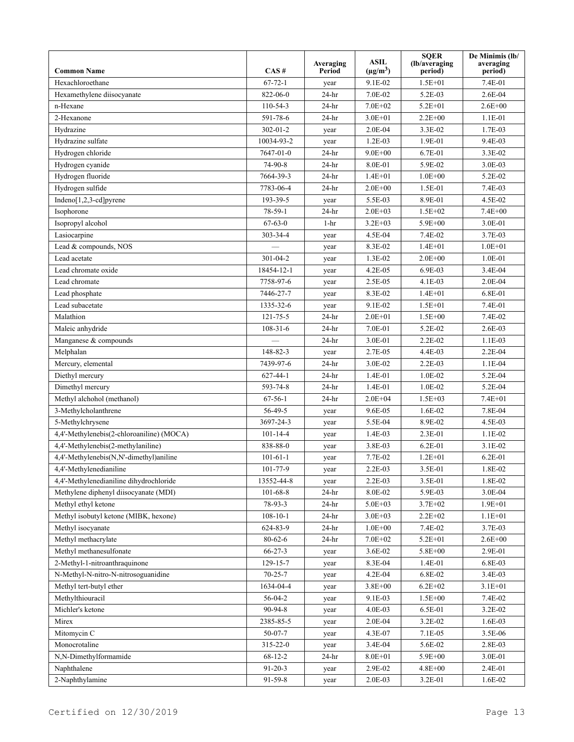| <b>Common Name</b>                        | CAS#            | Averaging<br>Period | <b>ASIL</b><br>$(\mu g/m^3)$ | <b>SQER</b><br>(lb/averaging<br>period) | De Minimis (lb/<br>averaging<br>period) |
|-------------------------------------------|-----------------|---------------------|------------------------------|-----------------------------------------|-----------------------------------------|
| Hexachloroethane                          | $67 - 72 - 1$   | year                | 9.1E-02                      | $1.5E + 01$                             | 7.4E-01                                 |
| Hexamethylene diisocyanate                | 822-06-0        | $24-hr$             | 7.0E-02                      | 5.2E-03                                 | $2.6E-04$                               |
| n-Hexane                                  | $110 - 54 - 3$  | $24-hr$             | $7.0E + 02$                  | $5.2E + 01$                             | $2.6E + 00$                             |
| 2-Hexanone                                | 591-78-6        | $24-hr$             | $3.0E + 01$                  | $2.2E + 00$                             | 1.1E-01                                 |
| Hydrazine                                 | $302 - 01 - 2$  | year                | $2.0E-04$                    | 3.3E-02                                 | 1.7E-03                                 |
| Hydrazine sulfate                         | 10034-93-2      | year                | $1.2E-03$                    | 1.9E-01                                 | 9.4E-03                                 |
| Hydrogen chloride                         | $7647 - 01 - 0$ | $24-hr$             | $9.0E + 00$                  | $6.7E-01$                               | 3.3E-02                                 |
| Hydrogen cyanide                          | 74-90-8         | $24-hr$             | 8.0E-01                      | 5.9E-02                                 | 3.0E-03                                 |
| Hydrogen fluoride                         | 7664-39-3       | $24-hr$             | $1.4E + 01$                  | $1.0E + 00$                             | 5.2E-02                                 |
| Hydrogen sulfide                          | 7783-06-4       | $24-hr$             | $2.0E + 00$                  | 1.5E-01                                 | $7.4E-03$                               |
| Indeno[1,2,3-cd]pyrene                    | 193-39-5        | year                | 5.5E-03                      | 8.9E-01                                 | 4.5E-02                                 |
| Isophorone                                | 78-59-1         | $24-hr$             | $2.0E + 03$                  | $1.5E + 02$                             | $7.4E + 00$                             |
| Isopropyl alcohol                         | $67 - 63 - 0$   | $1-hr$              | $3.2E + 03$                  | $5.9E + 00$                             | 3.0E-01                                 |
| Lasiocarpine                              | 303-34-4        | year                | 4.5E-04                      | $7.4E-02$                               | 3.7E-03                                 |
| Lead & compounds, NOS                     |                 | year                | 8.3E-02                      | $1.4E + 01$                             | $1.0E + 01$                             |
| Lead acetate                              | $301 - 04 - 2$  | year                | 1.3E-02                      | $2.0E + 00$                             | $1.0E-01$                               |
| Lead chromate oxide                       | 18454-12-1      | year                | $4.2E-05$                    | 6.9E-03                                 | 3.4E-04                                 |
| Lead chromate                             | 7758-97-6       | year                | $2.5E-0.5$                   | $4.1E-03$                               | 2.0E-04                                 |
| Lead phosphate                            | 7446-27-7       | year                | 8.3E-02                      | $1.4E + 01$                             | 6.8E-01                                 |
| Lead subacetate                           | 1335-32-6       | year                | 9.1E-02                      | $1.5E + 01$                             | 7.4E-01                                 |
| Malathion                                 | $121 - 75 - 5$  | $24-hr$             | $2.0E + 01$                  | $1.5E + 00$                             | 7.4E-02                                 |
| Maleic anhydride                          | $108 - 31 - 6$  | $24-hr$             | 7.0E-01                      | 5.2E-02                                 | 2.6E-03                                 |
| Manganese & compounds                     |                 | $24-hr$             | 3.0E-01                      | $2.2E-02$                               | $1.1E-03$                               |
| Melphalan                                 | 148-82-3        | year                | 2.7E-05                      | 4.4E-03                                 | 2.2E-04                                 |
| Mercury, elemental                        | 7439-97-6       | $24-hr$             | 3.0E-02                      | $2.2E-03$                               | $1.1E-04$                               |
| Diethyl mercury                           | $627 - 44 - 1$  | $24-hr$             | $1.4E - 01$                  | $1.0E-02$                               | 5.2E-04                                 |
| Dimethyl mercury                          | 593-74-8        | $24-hr$             | $1.4E-01$                    | $1.0E-02$                               | 5.2E-04                                 |
| Methyl alchohol (methanol)                | $67 - 56 - 1$   | $24-hr$             | $2.0E + 04$                  | $1.5E + 03$                             | $7.4E + 01$                             |
| 3-Methylcholanthrene                      | 56-49-5         | year                | 9.6E-05                      | $1.6E-02$                               | 7.8E-04                                 |
| 5-Methylchrysene                          | 3697-24-3       | year                | 5.5E-04                      | 8.9E-02                                 | 4.5E-03                                 |
| 4,4'-Methylenebis(2-chloroaniline) (MOCA) | $101 - 14 - 4$  | year                | 1.4E-03                      | $2.3E-01$                               | $1.1E-02$                               |
| 4,4'-Methylenebis(2-methylaniline)        | 838-88-0        | year                | 3.8E-03                      | $6.2E - 01$                             | $3.1E-02$                               |
| 4,4'-Methylenebis(N,N'-dimethyl)aniline   | $101 - 61 - 1$  | year                | 7.7E-02                      | $1.2E + 01$                             | $6.2E - 01$                             |
| 4,4'-Methylenedianiline                   | 101-77-9        | year                | 2.2E-03                      | 3.5E-01                                 | 1.8E-02                                 |
| 4,4'-Methylenedianiline dihydrochloride   | 13552-44-8      | year                | $2.2E-03$                    | $3.5E-01$                               | 1.8E-02                                 |
| Methylene diphenyl diisocyanate (MDI)     | $101 - 68 - 8$  | $24-hr$             | 8.0E-02                      | 5.9E-03                                 | 3.0E-04                                 |
| Methyl ethyl ketone                       | $78-93-3$       | $24-hr$             | $5.0E + 03$                  | $3.7E + 02$                             | $1.9E + 01$                             |
| Methyl isobutyl ketone (MIBK, hexone)     | $108 - 10 - 1$  | 24-hr               | $3.0E + 03$                  | $2.2E + 02$                             | $1.1E + 01$                             |
| Methyl isocyanate                         | 624-83-9        | $24-hr$             | $1.0E + 00$                  | 7.4E-02                                 | 3.7E-03                                 |
| Methyl methacrylate                       | $80 - 62 - 6$   | $24-hr$             | $7.0E + 02$                  | 5.2E+01                                 | $2.6E + 00$                             |
| Methyl methanesulfonate                   | $66 - 27 - 3$   | year                | 3.6E-02                      | 5.8E+00                                 | 2.9E-01                                 |
| 2-Methyl-1-nitroanthraquinone             | 129-15-7        | year                | 8.3E-04                      | 1.4E-01                                 | 6.8E-03                                 |
| N-Methyl-N-nitro-N-nitrosoguanidine       | $70 - 25 - 7$   | year                | 4.2E-04                      | 6.8E-02                                 | 3.4E-03                                 |
| Methyl tert-butyl ether                   | 1634-04-4       | year                | $3.8E + 00$                  | $6.2E + 02$                             | $3.1E + 01$                             |
| Methylthiouracil                          | $56 - 04 - 2$   | year                | 9.1E-03                      | $1.5E + 00$                             | 7.4E-02                                 |
| Michler's ketone                          | 90-94-8         | year                | 4.0E-03                      | 6.5E-01                                 | 3.2E-02                                 |
| Mirex                                     | 2385-85-5       | year                | 2.0E-04                      | 3.2E-02                                 | 1.6E-03                                 |
| Mitomycin C                               | $50 - 07 - 7$   | year                | 4.3E-07                      | 7.1E-05                                 | 3.5E-06                                 |
| Monocrotaline                             | $315 - 22 - 0$  | year                | 3.4E-04                      | 5.6E-02                                 | 2.8E-03                                 |
| N,N-Dimethylformamide                     | $68 - 12 - 2$   | $24-hr$             | $8.0E + 01$                  | 5.9E+00                                 | 3.0E-01                                 |
| Naphthalene                               | $91 - 20 - 3$   | year                | 2.9E-02                      | 4.8E+00                                 | 2.4E-01                                 |
| 2-Naphthylamine                           | $91 - 59 - 8$   | year                | 2.0E-03                      | 3.2E-01                                 | 1.6E-02                                 |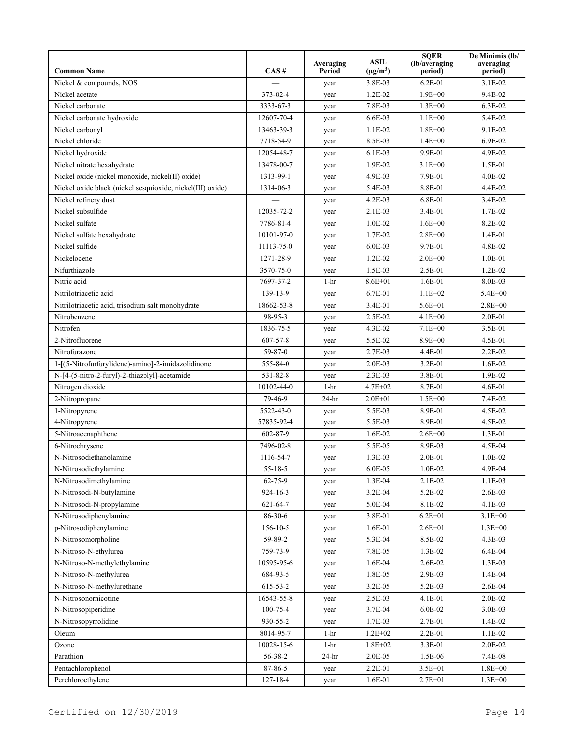| <b>Common Name</b>                                         | CAS#           | Averaging<br>Period | <b>ASIL</b><br>$(\mu g/m^3)$ | <b>SQER</b><br>(lb/averaging<br>period) | De Minimis (lb/<br>averaging<br>period) |
|------------------------------------------------------------|----------------|---------------------|------------------------------|-----------------------------------------|-----------------------------------------|
| Nickel & compounds, NOS                                    |                | year                | 3.8E-03                      | $6.2E - 01$                             | $3.1E-02$                               |
| Nickel acetate                                             | 373-02-4       | year                | $1.2E-02$                    | $1.9E + 00$                             | 9.4E-02                                 |
| Nickel carbonate                                           | 3333-67-3      | year                | 7.8E-03                      | $1.3E + 00$                             | 6.3E-02                                 |
| Nickel carbonate hydroxide                                 | 12607-70-4     | year                | $6.6E-03$                    | $1.1E + 00$                             | 5.4E-02                                 |
| Nickel carbonyl                                            | 13463-39-3     | year                | $1.1E-02$                    | $1.8E + 00$                             | 9.1E-02                                 |
| Nickel chloride                                            | 7718-54-9      | year                | 8.5E-03                      | $1.4E + 00$                             | 6.9E-02                                 |
| Nickel hydroxide                                           | 12054-48-7     | year                | $6.1E-03$                    | 9.9E-01                                 | 4.9E-02                                 |
| Nickel nitrate hexahydrate                                 | 13478-00-7     | year                | 1.9E-02                      | $3.1E + 00$                             | 1.5E-01                                 |
| Nickel oxide (nickel monoxide, nickel(II) oxide)           | 1313-99-1      | year                | 4.9E-03                      | 7.9E-01                                 | 4.0E-02                                 |
| Nickel oxide black (nickel sesquioxide, nickel(III) oxide) | 1314-06-3      | year                | 5.4E-03                      | 8.8E-01                                 | $4.4E-02$                               |
| Nickel refinery dust                                       |                | year                | $4.2E-03$                    | 6.8E-01                                 | 3.4E-02                                 |
| Nickel subsulfide                                          | 12035-72-2     | year                | $2.1E-03$                    | 3.4E-01                                 | 1.7E-02                                 |
| Nickel sulfate                                             | 7786-81-4      | year                | $1.0E-02$                    | $1.6E + 00$                             | 8.2E-02                                 |
| Nickel sulfate hexahydrate                                 | 10101-97-0     | year                | 1.7E-02                      | $2.8E + 00$                             | $1.4E - 01$                             |
| Nickel sulfide                                             | 11113-75-0     | year                | $6.0E-03$                    | 9.7E-01                                 | 4.8E-02                                 |
| Nickelocene                                                | 1271-28-9      | year                | $1.2E-02$                    | $2.0E + 00$                             | $1.0E-01$                               |
| Nifurthiazole                                              | 3570-75-0      | year                | 1.5E-03                      | 2.5E-01                                 | $1.2E-02$                               |
| Nitric acid                                                | 7697-37-2      | $1-hr$              | $8.6E + 01$                  | $1.6E - 01$                             | 8.0E-03                                 |
| Nitrilotriacetic acid                                      | 139-13-9       | year                | 6.7E-01                      | $1.1E + 02$                             | $5.4E + 00$                             |
| Nitrilotriacetic acid, trisodium salt monohydrate          | 18662-53-8     | year                | 3.4E-01                      | $5.6E + 01$                             | $2.8E + 00$                             |
| Nitrobenzene                                               | 98-95-3        | year                | 2.5E-02                      | $4.1E + 00$                             | $2.0E-01$                               |
| Nitrofen                                                   | 1836-75-5      | year                | 4.3E-02                      | $7.1E + 00$                             | 3.5E-01                                 |
| 2-Nitrofluorene                                            | $607 - 57 - 8$ | year                | 5.5E-02                      | $8.9E + 00$                             | 4.5E-01                                 |
| Nitrofurazone                                              | 59-87-0        | year                | 2.7E-03                      | 4.4E-01                                 | $2.2E-02$                               |
| 1-[(5-Nitrofurfurylidene)-amino]-2-imidazolidinone         | 555-84-0       | year                | $2.0E-03$                    | $3.2E - 01$                             | $1.6E-02$                               |
| N-[4-(5-nitro-2-furyl)-2-thiazolyl]-acetamide              | 531-82-8       | year                | $2.3E-03$                    | 3.8E-01                                 | 1.9E-02                                 |
| Nitrogen dioxide                                           | 10102-44-0     | $1-hr$              | $4.7E + 02$                  | 8.7E-01                                 | $4.6E - 01$                             |
| 2-Nitropropane                                             | 79-46-9        | $24-hr$             | $2.0E + 01$                  | $1.5E + 00$                             | $7.4E-02$                               |
| 1-Nitropyrene                                              | 5522-43-0      | year                | 5.5E-03                      | 8.9E-01                                 | 4.5E-02                                 |
| 4-Nitropyrene                                              | 57835-92-4     | year                | 5.5E-03                      | 8.9E-01                                 | 4.5E-02                                 |
| 5-Nitroacenaphthene                                        | $602 - 87 - 9$ | year                | $1.6E-02$                    | $2.6E + 00$                             | $1.3E-01$                               |
| 6-Nitrochrysene                                            | 7496-02-8      | year                | 5.5E-05                      | 8.9E-03                                 | 4.5E-04                                 |
| N-Nitrosodiethanolamine                                    | 1116-54-7      | year                | $1.3E-03$                    | 2.0E-01                                 | $1.0E-02$                               |
| N-Nitrosodiethylamine                                      | $55 - 18 - 5$  | year                | $6.0E-05$                    | $1.0E-02$                               | 4.9E-04                                 |
| N-Nitrosodimethylamine                                     | $62 - 75 - 9$  | year                | 1.3E-04                      | 2.1E-02                                 | 1.1E-03                                 |
| N-Nitrosodi-N-butylamine                                   | $924 - 16 - 3$ | year                | 3.2E-04                      | 5.2E-02                                 | 2.6E-03                                 |
| N-Nitrosodi-N-propylamine                                  | $621 - 64 - 7$ | year                | 5.0E-04                      | 8.1E-02                                 | 4.1E-03                                 |
| N-Nitrosodiphenylamine                                     | 86-30-6        | year                | 3.8E-01                      | $6.2E + 01$                             | $3.1E + 00$                             |
| p-Nitrosodiphenylamine                                     | 156-10-5       | year                | 1.6E-01                      | $2.6E + 01$                             | $1.3E + 00$                             |
| N-Nitrosomorpholine                                        | 59-89-2        | year                | 5.3E-04                      | 8.5E-02                                 | 4.3E-03                                 |
| N-Nitroso-N-ethylurea                                      | 759-73-9       | year                | 7.8E-05                      | 1.3E-02                                 | $6.4E-04$                               |
| N-Nitroso-N-methylethylamine                               | 10595-95-6     | year                | 1.6E-04                      | 2.6E-02                                 | $1.3E-03$                               |
| N-Nitroso-N-methylurea                                     | 684-93-5       | year                | 1.8E-05                      | 2.9E-03                                 | 1.4E-04                                 |
| N-Nitroso-N-methylurethane                                 | 615-53-2       | year                | 3.2E-05                      | 5.2E-03                                 | 2.6E-04                                 |
| N-Nitrosonornicotine                                       | 16543-55-8     | year                | 2.5E-03                      | 4.1E-01                                 | 2.0E-02                                 |
| N-Nitrosopiperidine                                        | 100-75-4       | year                | 3.7E-04                      | 6.0E-02                                 | 3.0E-03                                 |
| N-Nitrosopyrrolidine                                       | 930-55-2       | year                | 1.7E-03                      | 2.7E-01                                 | 1.4E-02                                 |
| Oleum                                                      | 8014-95-7      | $1 - hr$            | $1.2E + 02$                  | 2.2E-01                                 | $1.1E-02$                               |
| Ozone                                                      | 10028-15-6     | $1-hr$              | $1.8E + 02$                  | 3.3E-01                                 | 2.0E-02                                 |
| Parathion                                                  | 56-38-2        | $24-hr$             | 2.0E-05                      | 1.5E-06                                 | 7.4E-08                                 |
| Pentachlorophenol                                          | 87-86-5        | year                | 2.2E-01                      | 3.5E+01                                 | $1.8E + 00$                             |
| Perchloroethylene                                          | 127-18-4       | year                | 1.6E-01                      | $2.7E + 01$                             | $1.3E + 00$                             |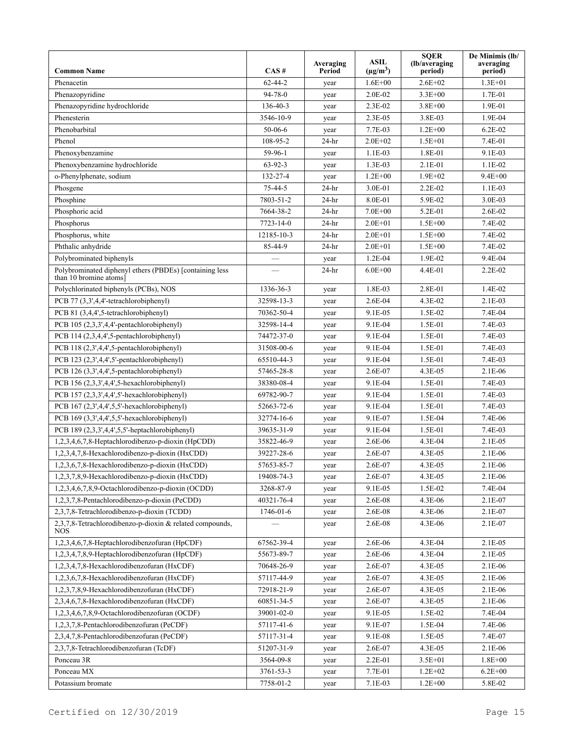| <b>Common Name</b>                                                                | CAS#          | Averaging<br>Period | <b>ASIL</b><br>$(\mu g/m^3)$ | <b>SQER</b><br>(lb/averaging<br>period) | De Minimis (lb/<br>averaging<br>period) |
|-----------------------------------------------------------------------------------|---------------|---------------------|------------------------------|-----------------------------------------|-----------------------------------------|
| Phenacetin                                                                        | $62 - 44 - 2$ | year                | $1.6E + 00$                  | $2.6E + 02$                             | $1.3E + 01$                             |
| Phenazopyridine                                                                   | $94 - 78 - 0$ | year                | 2.0E-02                      | $3.3E + 00$                             | 1.7E-01                                 |
| Phenazopyridine hydrochloride                                                     | 136-40-3      | year                | $2.3E-02$                    | $3.8E + 00$                             | 1.9E-01                                 |
| Phenesterin                                                                       | 3546-10-9     | year                | $2.3E-0.5$                   | 3.8E-03                                 | 1.9E-04                                 |
| Phenobarbital                                                                     | $50-06-6$     | year                | 7.7E-03                      | $1.2E + 00$                             | $6.2E-02$                               |
| Phenol                                                                            | 108-95-2      | $24-hr$             | $2.0E + 02$                  | $1.5E + 01$                             | 7.4E-01                                 |
| Phenoxybenzamine                                                                  | 59-96-1       | year                | $1.1E-03$                    | 1.8E-01                                 | 9.1E-03                                 |
| Phenoxybenzamine hydrochloride                                                    | $63-92-3$     | year                | $1.3E-03$                    | 2.1E-01                                 | $1.1E-02$                               |
| o-Phenylphenate, sodium                                                           | 132-27-4      | year                | $1.2E + 00$                  | $1.9E + 02$                             | $9.4E + 00$                             |
| Phosgene                                                                          | $75 - 44 - 5$ | $24-hr$             | 3.0E-01                      | $2.2E-02$                               | $1.1E-03$                               |
| Phosphine                                                                         | 7803-51-2     | $24-hr$             | 8.0E-01                      | 5.9E-02                                 | 3.0E-03                                 |
| Phosphoric acid                                                                   | 7664-38-2     | $24-hr$             | $7.0E + 00$                  | 5.2E-01                                 | $2.6E-02$                               |
| Phosphorus                                                                        | 7723-14-0     | 24-hr               | $2.0E + 01$                  | $1.5E + 00$                             | 7.4E-02                                 |
| Phosphorus, white                                                                 | 12185-10-3    | $24-hr$             | $2.0E + 01$                  | $1.5E + 00$                             | 7.4E-02                                 |
| Phthalic anhydride                                                                | 85-44-9       | 24-hr               | $2.0E + 01$                  | $1.5E + 00$                             | 7.4E-02                                 |
| Polybrominated biphenyls                                                          |               | year                | $1.2E-04$                    | 1.9E-02                                 | 9.4E-04                                 |
| Polybrominated diphenyl ethers (PBDEs) [containing less<br>than 10 bromine atoms] |               | 24-hr               | $6.0E + 00$                  | 4.4E-01                                 | $2.2E-02$                               |
| Polychlorinated biphenyls (PCBs), NOS                                             | 1336-36-3     | year                | 1.8E-03                      | 2.8E-01                                 | $1.4E-02$                               |
| PCB 77 (3,3',4,4'-tetrachlorobiphenyl)                                            | 32598-13-3    | year                | 2.6E-04                      | 4.3E-02                                 | $2.1E-03$                               |
| PCB 81 (3,4,4',5-tetrachlorobiphenyl)                                             | 70362-50-4    | year                | 9.1E-05                      | 1.5E-02                                 | 7.4E-04                                 |
| PCB 105 (2,3,3',4,4'-pentachlorobiphenyl)                                         | 32598-14-4    | year                | 9.1E-04                      | 1.5E-01                                 | 7.4E-03                                 |
| PCB 114 (2,3,4,4',5-pentachlorobiphenyl)                                          | 74472-37-0    | year                | 9.1E-04                      | 1.5E-01                                 | 7.4E-03                                 |
| PCB 118 (2,3',4,4',5-pentachlorobiphenyl)                                         | 31508-00-6    | year                | 9.1E-04                      | 1.5E-01                                 | 7.4E-03                                 |
| PCB 123 (2,3',4,4',5'-pentachlorobiphenyl)                                        | 65510-44-3    | year                | 9.1E-04                      | 1.5E-01                                 | 7.4E-03                                 |
| PCB 126 (3,3',4,4',5-pentachlorobiphenyl)                                         | 57465-28-8    | year                | 2.6E-07                      | 4.3E-05                                 | 2.1E-06                                 |
| PCB 156 (2,3,3',4,4',5-hexachlorobiphenyl)                                        | 38380-08-4    | year                | 9.1E-04                      | 1.5E-01                                 | 7.4E-03                                 |
| PCB 157 (2,3,3',4,4',5'-hexachlorobiphenyl)                                       | 69782-90-7    | year                | 9.1E-04                      | 1.5E-01                                 | 7.4E-03                                 |
| PCB 167 (2,3',4,4',5,5'-hexachlorobiphenyl)                                       | 52663-72-6    | year                | 9.1E-04                      | 1.5E-01                                 | 7.4E-03                                 |
| PCB 169 (3,3',4,4',5,5'-hexachlorobiphenyl)                                       | 32774-16-6    | year                | 9.1E-07                      | 1.5E-04                                 | 7.4E-06                                 |
| PCB 189 (2,3,3',4,4',5,5'-heptachlorobiphenyl)                                    | 39635-31-9    | year                | 9.1E-04                      | 1.5E-01                                 | 7.4E-03                                 |
| 1,2,3,4,6,7,8-Heptachlorodibenzo-p-dioxin (HpCDD)                                 | 35822-46-9    | year                | 2.6E-06                      | 4.3E-04                                 | 2.1E-05                                 |
| 1,2,3,4,7,8-Hexachlorodibenzo-p-dioxin (HxCDD)                                    | 39227-28-6    | year                | 2.6E-07                      | 4.3E-05                                 | 2.1E-06                                 |
| 1,2,3,6,7,8-Hexachlorodibenzo-p-dioxin (HxCDD)                                    | 57653-85-7    | year                | 2.6E-07                      | $4.3E-05$                               | $2.1E-06$                               |
| 1,2,3,7,8,9-Hexachlorodibenzo-p-dioxin (HxCDD)                                    | 19408-74-3    | year                | 2.6E-07                      | 4.3E-05                                 | 2.1E-06                                 |
| 1,2,3,4,6,7,8,9-Octachlorodibenzo-p-dioxin (OCDD)                                 | 3268-87-9     | year                | 9.1E-05                      | 1.5E-02                                 | 7.4E-04                                 |
| 1,2,3,7,8-Pentachlorodibenzo-p-dioxin (PeCDD)                                     | 40321-76-4    | year                | 2.6E-08                      | 4.3E-06                                 | $2.1E-07$                               |
| 2,3,7,8-Tetrachlorodibenzo-p-dioxin (TCDD)                                        | 1746-01-6     | year                | 2.6E-08                      | 4.3E-06                                 | $2.1E-07$                               |
| 2,3,7,8-Tetrachlorodibenzo-p-dioxin & related compounds,<br><b>NOS</b>            |               | year                | 2.6E-08                      | 4.3E-06                                 | 2.1E-07                                 |
| 1,2,3,4,6,7,8-Heptachlorodibenzofuran (HpCDF)                                     | 67562-39-4    | year                | 2.6E-06                      | 4.3E-04                                 | $2.1E-05$                               |
| 1,2,3,4,7,8,9-Heptachlorodibenzofuran (HpCDF)                                     | 55673-89-7    | year                | 2.6E-06                      | 4.3E-04                                 | 2.1E-05                                 |
| 1,2,3,4,7,8-Hexachlorodibenzofuran (HxCDF)                                        | 70648-26-9    | year                | 2.6E-07                      | 4.3E-05                                 | 2.1E-06                                 |
| 1,2,3,6,7,8-Hexachlorodibenzofuran (HxCDF)                                        | 57117-44-9    | year                | 2.6E-07                      | 4.3E-05                                 | 2.1E-06                                 |
| 1,2,3,7,8,9-Hexachlorodibenzofuran (HxCDF)                                        | 72918-21-9    | year                | 2.6E-07                      | 4.3E-05                                 | 2.1E-06                                 |
| 2,3,4,6,7,8-Hexachlorodibenzofuran (HxCDF)                                        | 60851-34-5    | year                | 2.6E-07                      | 4.3E-05                                 | 2.1E-06                                 |
| 1,2,3,4,6,7,8,9-Octachlorodibenzofuran (OCDF)                                     | 39001-02-0    | year                | 9.1E-05                      | 1.5E-02                                 | 7.4E-04                                 |
| 1,2,3,7,8-Pentachlorodibenzofuran (PeCDF)                                         | 57117-41-6    | year                | 9.1E-07                      | 1.5E-04                                 | 7.4E-06                                 |
| 2,3,4,7,8-Pentachlorodibenzofuran (PeCDF)                                         | 57117-31-4    | year                | 9.1E-08                      | 1.5E-05                                 | 7.4E-07                                 |
| 2,3,7,8-Tetrachlorodibenzofuran (TcDF)                                            | 51207-31-9    | year                | 2.6E-07                      | 4.3E-05                                 | 2.1E-06                                 |
| Ponceau 3R                                                                        | 3564-09-8     | year                | 2.2E-01                      | $3.5E + 01$                             | $1.8E + 00$                             |
| Ponceau MX                                                                        | 3761-53-3     | year                | 7.7E-01                      | $1.2E + 02$                             | $6.2E + 00$                             |
| Potassium bromate                                                                 | 7758-01-2     | year                | $7.1E-03$                    | $1.2E + 00$                             | 5.8E-02                                 |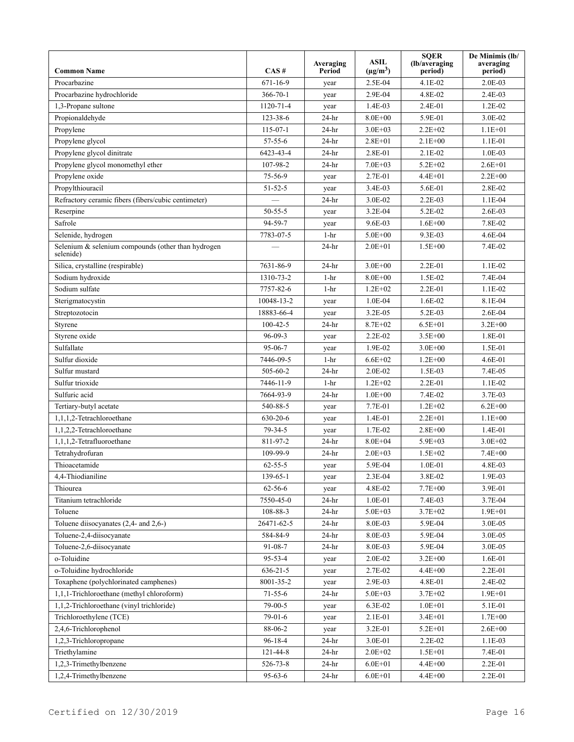| <b>Common Name</b>                                              | CAS#           | Averaging<br>Period | <b>ASIL</b><br>$(\mu g/m^3)$ | <b>SQER</b><br>(lb/averaging)<br>period) | De Minimis (lb/<br>averaging<br>period) |
|-----------------------------------------------------------------|----------------|---------------------|------------------------------|------------------------------------------|-----------------------------------------|
| Procarbazine                                                    | $671 - 16 - 9$ | year                | $2.5E-04$                    | $4.1E-02$                                | $2.0E-03$                               |
| Procarbazine hydrochloride                                      | $366 - 70 - 1$ | year                | 2.9E-04                      | 4.8E-02                                  | $2.4E-03$                               |
| 1,3-Propane sultone                                             | 1120-71-4      | year                | $1.4E-03$                    | 2.4E-01                                  | $1.2E-02$                               |
| Propionaldehyde                                                 | 123-38-6       | $24-hr$             | $8.0E + 00$                  | 5.9E-01                                  | 3.0E-02                                 |
| Propylene                                                       | $115-07-1$     | $24-hr$             | $3.0E + 03$                  | $2.2E + 02$                              | $1.1E + 01$                             |
| Propylene glycol                                                | $57 - 55 - 6$  | $24-hr$             | $2.8E + 01$                  | $2.1E + 00$                              | 1.1E-01                                 |
| Propylene glycol dinitrate                                      | 6423-43-4      | $24-hr$             | 2.8E-01                      | $2.1E-02$                                | $1.0E-03$                               |
| Propylene glycol monomethyl ether                               | 107-98-2       | $24-hr$             | $7.0E + 03$                  | $5.2E + 02$                              | $2.6E + 01$                             |
| Propylene oxide                                                 | 75-56-9        | year                | 2.7E-01                      | $4.4E + 01$                              | $2.2E + 00$                             |
| Propylthiouracil                                                | $51 - 52 - 5$  | year                | $3.4E-03$                    | 5.6E-01                                  | 2.8E-02                                 |
| Refractory ceramic fibers (fibers/cubic centimeter)             |                | $24-hr$             | 3.0E-02                      | $2.2E-03$                                | $1.1E-04$                               |
| Reserpine                                                       | $50 - 55 - 5$  | year                | 3.2E-04                      | 5.2E-02                                  | 2.6E-03                                 |
| Safrole                                                         | 94-59-7        | year                | $9.6E-03$                    | $1.6E + 00$                              | 7.8E-02                                 |
| Selenide, hydrogen                                              | 7783-07-5      | $1-hr$              | $5.0E + 00$                  | $9.3E-03$                                | 4.6E-04                                 |
| Selenium & selenium compounds (other than hydrogen<br>selenide) |                | $24-hr$             | $2.0E + 01$                  | $1.5E + 00$                              | 7.4E-02                                 |
| Silica, crystalline (respirable)                                | 7631-86-9      | $24-hr$             | $3.0E + 00$                  | 2.2E-01                                  | $1.1E-02$                               |
| Sodium hydroxide                                                | 1310-73-2      | $1-hr$              | $8.0E + 00$                  | 1.5E-02                                  | 7.4E-04                                 |
| Sodium sulfate                                                  | 7757-82-6      | $1-hr$              | $1.2E + 02$                  | $2.2E - 01$                              | $1.1E-02$                               |
| Sterigmatocystin                                                | 10048-13-2     | year                | 1.0E-04                      | $1.6E-02$                                | 8.1E-04                                 |
| Streptozotocin                                                  | 18883-66-4     | year                | 3.2E-05                      | $5.2E-03$                                | 2.6E-04                                 |
| Styrene                                                         | $100 - 42 - 5$ | $24-hr$             | $8.7E + 02$                  | $6.5E + 01$                              | $3.2E + 00$                             |
| Styrene oxide                                                   | $96 - 09 - 3$  | year                | $2.2E-02$                    | $3.5E + 00$                              | 1.8E-01                                 |
| Sulfallate                                                      | 95-06-7        | year                | 1.9E-02                      | $3.0E + 00$                              | 1.5E-01                                 |
| Sulfur dioxide                                                  | 7446-09-5      | $1-hr$              | $6.6E + 02$                  | $1.2E + 00$                              | 4.6E-01                                 |
| Sulfur mustard                                                  | 505-60-2       | $24-hr$             | 2.0E-02                      | 1.5E-03                                  | 7.4E-05                                 |
| Sulfur trioxide                                                 | 7446-11-9      | $1-hr$              | $1.2E + 02$                  | 2.2E-01                                  | $1.1E-02$                               |
| Sulfuric acid                                                   | 7664-93-9      | $24-hr$             | $1.0E + 00$                  | 7.4E-02                                  | 3.7E-03                                 |
| Tertiary-butyl acetate                                          | 540-88-5       | year                | 7.7E-01                      | $1.2E + 02$                              | $6.2E + 00$                             |
| 1,1,1,2-Tetrachloroethane                                       | 630-20-6       | year                | $1.4E - 01$                  | $2.2E + 01$                              | $1.1E + 00$                             |
| 1,1,2,2-Tetrachloroethane                                       | $79 - 34 - 5$  | year                | 1.7E-02                      | $2.8E + 00$                              | $1.4E - 01$                             |
| 1.1.1.2-Tetrafluoroethane                                       | 811-97-2       | $24-hr$             | $8.0E + 04$                  | $5.9E + 03$                              | $3.0E + 02$                             |
| Tetrahydrofuran                                                 | 109-99-9       | $24-hr$             | $2.0E + 03$                  | $1.5E + 02$                              | $7.4E + 00$                             |
| Thioacetamide                                                   | $62 - 55 - 5$  | year                | 5.9E-04                      | $1.0E-01$                                | 4.8E-03                                 |
| 4,4-Thiodianiline                                               | 139-65-1       | year                | 2.3E-04                      | 3.8E-02                                  | 1.9E-03                                 |
| Thiourea                                                        | $62 - 56 - 6$  | year                | 4.8E-02                      | 7.7E+00                                  | 3.9E-01                                 |
| Titanium tetrachloride                                          | 7550-45-0      | $24-hr$             | $1.0E-01$                    | 7.4E-03                                  | 3.7E-04                                 |
| Toluene                                                         | 108-88-3       | $24-hr$             | $5.0E + 03$                  | $3.7E + 02$                              | $1.9E + 01$                             |
| Toluene diisocyanates (2,4- and 2,6-)                           | 26471-62-5     | $24-hr$             | 8.0E-03                      | 5.9E-04                                  | 3.0E-05                                 |
| Toluene-2,4-diisocyanate                                        | 584-84-9       | $24-hr$             | 8.0E-03                      | 5.9E-04                                  | 3.0E-05                                 |
| Toluene-2,6-diisocyanate                                        | $91 - 08 - 7$  | $24-hr$             | 8.0E-03                      | 5.9E-04                                  | 3.0E-05                                 |
| o-Toluidine                                                     | $95 - 53 - 4$  | year                | 2.0E-02                      | $3.2E + 00$                              | $1.6E-01$                               |
| o-Toluidine hydrochloride                                       | $636 - 21 - 5$ | year                | 2.7E-02                      | $4.4E + 00$                              | 2.2E-01                                 |
| Toxaphene (polychlorinated camphenes)                           | 8001-35-2      | year                | 2.9E-03                      | 4.8E-01                                  | 2.4E-02                                 |
| 1,1,1-Trichloroethane (methyl chloroform)                       | $71 - 55 - 6$  | $24-hr$             | $5.0E + 03$                  | $3.7E + 02$                              | $1.9E + 01$                             |
| 1,1,2-Trichloroethane (vinyl trichloride)                       | $79-00-5$      | year                | 6.3E-02                      | $1.0E + 01$                              | 5.1E-01                                 |
| Trichloroethylene (TCE)                                         | $79-01-6$      | year                | $2.1E-01$                    | $3.4E + 01$                              | $1.7E + 00$                             |
| 2,4,6-Trichlorophenol                                           | 88-06-2        | year                | 3.2E-01                      | 5.2E+01                                  | $2.6E + 00$                             |
| 1,2,3-Trichloropropane                                          | $96 - 18 - 4$  | $24-hr$             | 3.0E-01                      | 2.2E-02                                  | $1.1E-03$                               |
| Triethylamine                                                   | 121-44-8       | $24-hr$             | $2.0E + 02$                  | $1.5E + 01$                              | 7.4E-01                                 |
| 1,2,3-Trimethylbenzene                                          | 526-73-8       | $24-hr$             | $6.0E + 01$                  | $4.4E + 00$                              | 2.2E-01                                 |
| 1,2,4-Trimethylbenzene                                          | $95 - 63 - 6$  | $24-hr$             | $6.0E + 01$                  | $4.4E + 00$                              | 2.2E-01                                 |